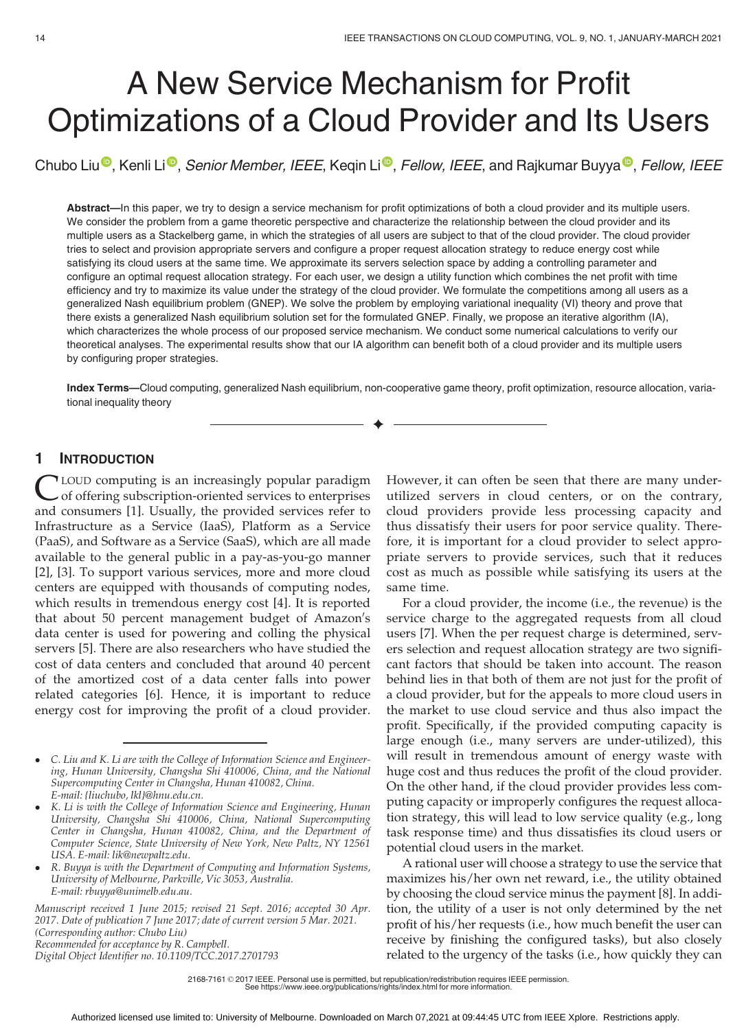# A New Service Mechanism for Profit Optimizations of a Cloud Provider and Its Users

Ch[u](https://orcid.org/0000-0002-2372-6715)bo Liu<sup>®</sup>[,](https://orcid.org/0000-0001-9754-6496) Kenli Li<sup>®</sup>, Senior Member, IEEE, Keqin Li<sup>®</sup>, Fellow, IEEE, and Rajkumar Buyya<sup>®</sup>, Fellow, IEEE

Abstract—In this paper, we try to design a service mechanism for profit optimizations of both a cloud provider and its multiple users. We consider the problem from a game theoretic perspective and characterize the relationship between the cloud provider and its multiple users as a Stackelberg game, in which the strategies of all users are subject to that of the cloud provider. The cloud provider tries to select and provision appropriate servers and configure a proper request allocation strategy to reduce energy cost while satisfying its cloud users at the same time. We approximate its servers selection space by adding a controlling parameter and configure an optimal request allocation strategy. For each user, we design a utility function which combines the net profit with time efficiency and try to maximize its value under the strategy of the cloud provider. We formulate the competitions among all users as a generalized Nash equilibrium problem (GNEP). We solve the problem by employing variational inequality (VI) theory and prove that there exists a generalized Nash equilibrium solution set for the formulated GNEP. Finally, we propose an iterative algorithm (IA), which characterizes the whole process of our proposed service mechanism. We conduct some numerical calculations to verify our theoretical analyses. The experimental results show that our IA algorithm can benefit both of a cloud provider and its multiple users by configuring proper strategies.

Index Terms—Cloud computing, generalized Nash equilibrium, non-cooperative game theory, profit optimization, resource allocation, variational inequality theory

 $\bigstar$ 

# 1 INTRODUCTION

CLOUD computing is an increasingly popular paradigm<br>of offering subscription-oriented services to enterprises and consumers [1]. Usually, the provided services refer to Infrastructure as a Service (IaaS), Platform as a Service (PaaS), and Software as a Service (SaaS), which are all made available to the general public in a pay-as-you-go manner [2], [3]. To support various services, more and more cloud centers are equipped with thousands of computing nodes, which results in tremendous energy cost [4]. It is reported that about 50 percent management budget of Amazon's data center is used for powering and colling the physical servers [5]. There are also researchers who have studied the cost of data centers and concluded that around 40 percent of the amortized cost of a data center falls into power related categories [6]. Hence, it is important to reduce energy cost for improving the profit of a cloud provider.

Manuscript received 1 June 2015; revised 21 Sept. 2016; accepted 30 Apr. 2017. Date of publication 7 June 2017; date of current version 5 Mar. 2021. (Corresponding author: Chubo Liu) Recommended for acceptance by R. Campbell. Digital Object Identifier no. 10.1109/TCC.2017.2701793

However, it can often be seen that there are many underutilized servers in cloud centers, or on the contrary, cloud providers provide less processing capacity and thus dissatisfy their users for poor service quality. Therefore, it is important for a cloud provider to select appropriate servers to provide services, such that it reduces cost as much as possible while satisfying its users at the same time.

For a cloud provider, the income (i.e., the revenue) is the service charge to the aggregated requests from all cloud users [7]. When the per request charge is determined, servers selection and request allocation strategy are two significant factors that should be taken into account. The reason behind lies in that both of them are not just for the profit of a cloud provider, but for the appeals to more cloud users in the market to use cloud service and thus also impact the profit. Specifically, if the provided computing capacity is large enough (i.e., many servers are under-utilized), this will result in tremendous amount of energy waste with huge cost and thus reduces the profit of the cloud provider. On the other hand, if the cloud provider provides less computing capacity or improperly configures the request allocation strategy, this will lead to low service quality (e.g., long task response time) and thus dissatisfies its cloud users or potential cloud users in the market.

A rational user will choose a strategy to use the service that maximizes his/her own net reward, i.e., the utility obtained by choosing the cloud service minus the payment [8]. In addition, the utility of a user is not only determined by the net profit of his/her requests (i.e., how much benefit the user can receive by finishing the configured tasks), but also closely related to the urgency of the tasks (i.e., how quickly they can

2168-7161 © 2017 IEEE. Personal use is permitted, but republication/redistribution requires IEEE permission. See https://www.ieee.org/publications/rights/index.html for more information.

<sup>-</sup> C. Liu and K. Li are with the College of Information Science and Engineering, Hunan University, Changsha Shi 410006, China, and the National Supercomputing Center in Changsha, Hunan 410082, China. E-mail: [{liuchubo, lkl}@hnu.edu.cn](mailto:).

K. Li is with the College of Information Science and Engineering, Hunan University, Changsha Shi 410006, China, National Supercomputing Center in Changsha, Hunan 410082, China, and the Department of Computer Science, State University of New York, New Paltz, NY 12561 USA. E-mail: [lik@newpaltz.edu.](mailto:)

R. Buyya is with the Department of Computing and Information Systems, University of Melbourne, Parkville, Vic 3053, Australia. E-mail: [rbuyya@unimelb.edu.au.](mailto:)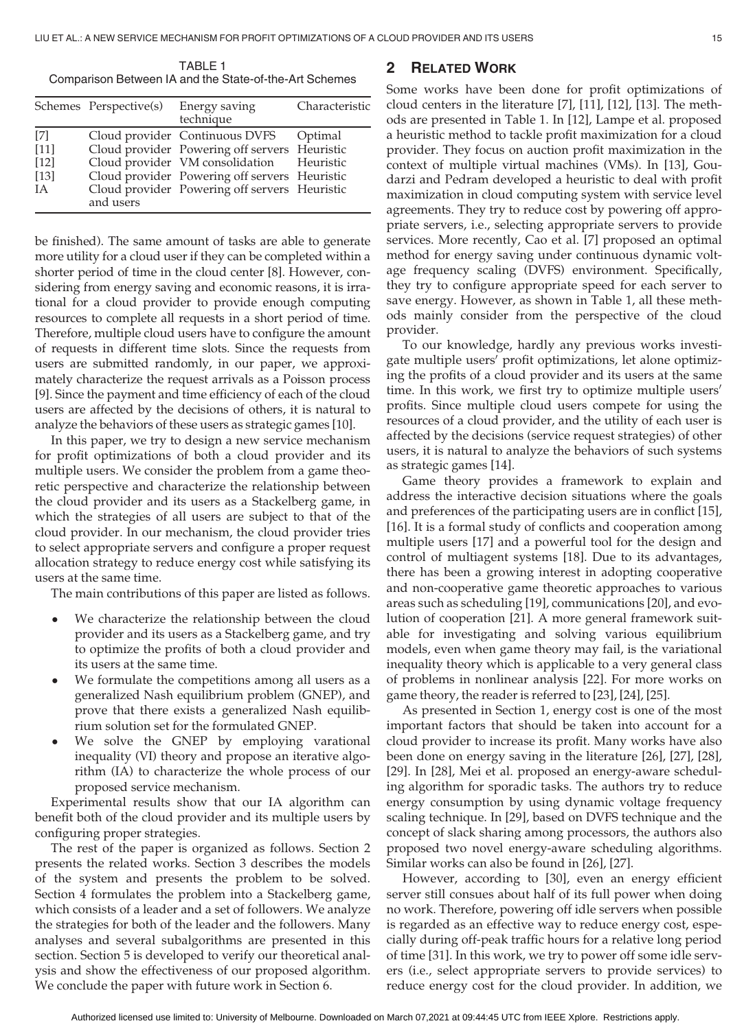TABLE 1 Comparison Between IA and the State-of-the-Art Schemes

|                                          | Schemes Perspective(s) | Energy saving<br>technique                                                                                                                                                                                                     | Characteristic |
|------------------------------------------|------------------------|--------------------------------------------------------------------------------------------------------------------------------------------------------------------------------------------------------------------------------|----------------|
| [7]<br>[11]<br>[12]<br>[13]<br><b>IA</b> | and users              | Cloud provider Continuous DVFS<br>Cloud provider Powering off servers Heuristic<br>Cloud provider VM consolidation Heuristic<br>Cloud provider Powering off servers Heuristic<br>Cloud provider Powering off servers Heuristic | Optimal        |

be finished). The same amount of tasks are able to generate more utility for a cloud user if they can be completed within a shorter period of time in the cloud center [8]. However, considering from energy saving and economic reasons, it is irrational for a cloud provider to provide enough computing resources to complete all requests in a short period of time. Therefore, multiple cloud users have to configure the amount of requests in different time slots. Since the requests from users are submitted randomly, in our paper, we approximately characterize the request arrivals as a Poisson process [9]. Since the payment and time efficiency of each of the cloud users are affected by the decisions of others, it is natural to analyze the behaviors of these users as strategic games [10].

In this paper, we try to design a new service mechanism for profit optimizations of both a cloud provider and its multiple users. We consider the problem from a game theoretic perspective and characterize the relationship between the cloud provider and its users as a Stackelberg game, in which the strategies of all users are subject to that of the cloud provider. In our mechanism, the cloud provider tries to select appropriate servers and configure a proper request allocation strategy to reduce energy cost while satisfying its users at the same time.

The main contributions of this paper are listed as follows.

- We characterize the relationship between the cloud provider and its users as a Stackelberg game, and try to optimize the profits of both a cloud provider and its users at the same time.
- We formulate the competitions among all users as a generalized Nash equilibrium problem (GNEP), and prove that there exists a generalized Nash equilibrium solution set for the formulated GNEP.
- We solve the GNEP by employing varational inequality (VI) theory and propose an iterative algorithm (IA) to characterize the whole process of our proposed service mechanism.

Experimental results show that our IA algorithm can benefit both of the cloud provider and its multiple users by configuring proper strategies.

The rest of the paper is organized as follows. Section 2 presents the related works. Section 3 describes the models of the system and presents the problem to be solved. Section 4 formulates the problem into a Stackelberg game, which consists of a leader and a set of followers. We analyze the strategies for both of the leader and the followers. Many analyses and several subalgorithms are presented in this section. Section 5 is developed to verify our theoretical analysis and show the effectiveness of our proposed algorithm. We conclude the paper with future work in Section 6.

# 2 RELATED WORK

Some works have been done for profit optimizations of cloud centers in the literature [7], [11], [12], [13]. The methods are presented in Table 1. In [12], Lampe et al. proposed a heuristic method to tackle profit maximization for a cloud provider. They focus on auction profit maximization in the context of multiple virtual machines (VMs). In [13], Goudarzi and Pedram developed a heuristic to deal with profit maximization in cloud computing system with service level agreements. They try to reduce cost by powering off appropriate servers, i.e., selecting appropriate servers to provide services. More recently, Cao et al. [7] proposed an optimal method for energy saving under continuous dynamic voltage frequency scaling (DVFS) environment. Specifically, they try to configure appropriate speed for each server to save energy. However, as shown in Table 1, all these methods mainly consider from the perspective of the cloud provider.

To our knowledge, hardly any previous works investigate multiple users' profit optimizations, let alone optimizing the profits of a cloud provider and its users at the same time. In this work, we first try to optimize multiple users' profits. Since multiple cloud users compete for using the resources of a cloud provider, and the utility of each user is affected by the decisions (service request strategies) of other users, it is natural to analyze the behaviors of such systems as strategic games [14].

Game theory provides a framework to explain and address the interactive decision situations where the goals and preferences of the participating users are in conflict [15], [16]. It is a formal study of conflicts and cooperation among multiple users [17] and a powerful tool for the design and control of multiagent systems [18]. Due to its advantages, there has been a growing interest in adopting cooperative and non-cooperative game theoretic approaches to various areas such as scheduling [19], communications [20], and evolution of cooperation [21]. A more general framework suitable for investigating and solving various equilibrium models, even when game theory may fail, is the variational inequality theory which is applicable to a very general class of problems in nonlinear analysis [22]. For more works on game theory, the reader is referred to [23], [24], [25].

As presented in Section 1, energy cost is one of the most important factors that should be taken into account for a cloud provider to increase its profit. Many works have also been done on energy saving in the literature [26], [27], [28], [29]. In [28], Mei et al. proposed an energy-aware scheduling algorithm for sporadic tasks. The authors try to reduce energy consumption by using dynamic voltage frequency scaling technique. In [29], based on DVFS technique and the concept of slack sharing among processors, the authors also proposed two novel energy-aware scheduling algorithms. Similar works can also be found in [26], [27].

However, according to [30], even an energy efficient server still consues about half of its full power when doing no work. Therefore, powering off idle servers when possible is regarded as an effective way to reduce energy cost, especially during off-peak traffic hours for a relative long period of time [31]. In this work, we try to power off some idle servers (i.e., select appropriate servers to provide services) to reduce energy cost for the cloud provider. In addition, we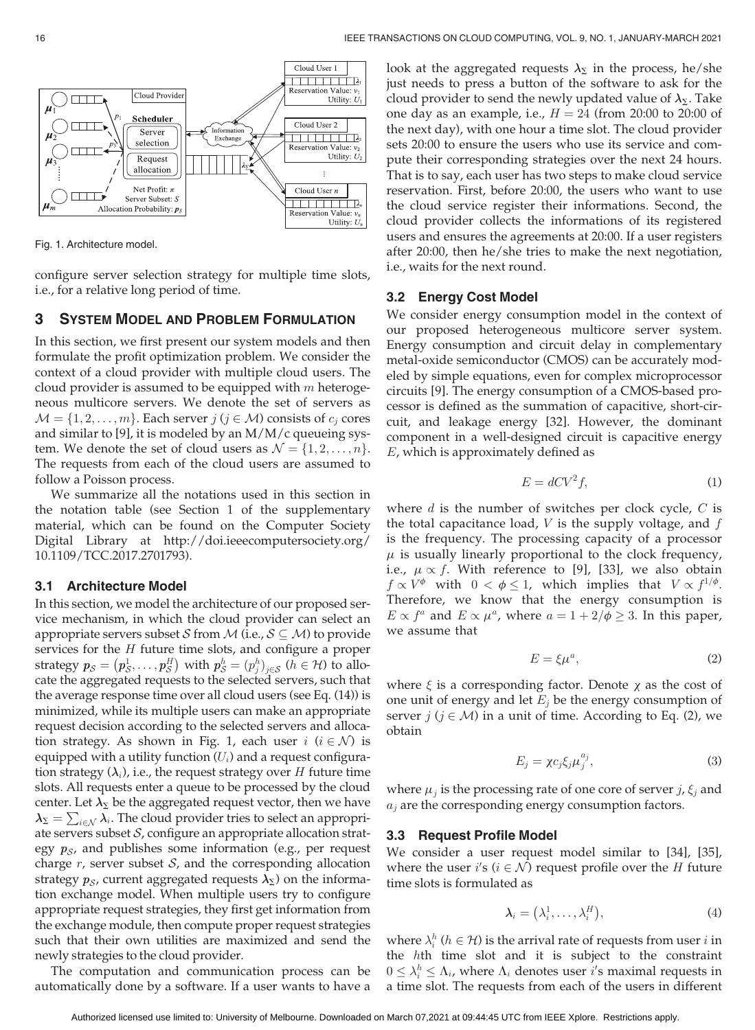

Fig. 1. Architecture model.

configure server selection strategy for multiple time slots, i.e., for a relative long period of time.

# 3 SYSTEM MODEL AND PROBLEM FORMULATION

In this section, we first present our system models and then formulate the profit optimization problem. We consider the context of a cloud provider with multiple cloud users. The cloud provider is assumed to be equipped with  $m$  heterogeneous multicore servers. We denote the set of servers as  $M = \{1, 2, \ldots, m\}$ . Each server  $j$  ( $j \in M$ ) consists of  $c_j$  cores and similar to [9], it is modeled by an  $M/M/c$  queueing system. We denote the set of cloud users as  $\mathcal{N} = \{1, 2, \ldots, n\}.$ The requests from each of the cloud users are assumed to follow a Poisson process.

We summarize all the notations used in this section in the notation table (see Section 1 of the supplementary material, which can be found on the Computer Society Digital Library at [http://doi.ieeecomputersociety.org/](http://doi.ieeecomputersociety.org/10.1109/TCC.2017.2701793) [10.1109/TCC.2017.2701793](http://doi.ieeecomputersociety.org/10.1109/TCC.2017.2701793)).

#### 3.1 Architecture Model

In this section, we model the architecture of our proposed service mechanism, in which the cloud provider can select an appropriate servers subset S from M (i.e.,  $S \subseteq M$ ) to provide services for the H future time slots, and configure a proper strategy  $p_S = (p_S^1, \ldots, p_S^H)$  with  $p_S^h = (p_j^h)_{j \in S}$  ( $h \in H$ ) to allo-<br>cate the aggregated requests to the selected servers, such that cate the aggregated requests to the selected servers, such that the average response time over all cloud users (see Eq. (14)) is minimized, while its multiple users can make an appropriate request decision according to the selected servers and allocation strategy. As shown in Fig. 1, each user  $i$   $(i \in \mathcal{N})$  is equipped with a utility function  $(U_i)$  and a request configuration strategy  $(\lambda_i)$ , i.e., the request strategy over H future time slots. All requests enter a queue to be processed by the cloud center. Let  $\lambda_{\Sigma}$  be the aggregated request vector, then we have  $\lambda_{\Sigma} = \sum_{i \in \mathcal{N}} \lambda_i$ . The cloud provider tries to select an appropriate servers subset  $S$ , configure an appropriate allocation strategy  $p_{S}$ , and publishes some information (e.g., per request charge  $r$ , server subset  $S$ , and the corresponding allocation strategy  $p_S$ , current aggregated requests  $\lambda_{\Sigma}$ ) on the informa-<br>tion exchange model. When multiple years try to configure tion exchange model. When multiple users try to configure appropriate request strategies, they first get information from the exchange module, then compute proper request strategies such that their own utilities are maximized and send the newly strategies to the cloud provider.

The computation and communication process can be automatically done by a software. If a user wants to have a

look at the aggregated requests  $\lambda_{\Sigma}$  in the process, he/she just needs to press a button of the software to ask for the cloud provider to send the newly updated value of  $\lambda_{\Sigma}$ . Take one day as an example, i.e.,  $H = 24$  (from 20:00 to 20:00 of the next day), with one hour a time slot. The cloud provider sets 20:00 to ensure the users who use its service and compute their corresponding strategies over the next 24 hours. That is to say, each user has two steps to make cloud service reservation. First, before 20:00, the users who want to use the cloud service register their informations. Second, the cloud provider collects the informations of its registered users and ensures the agreements at 20:00. If a user registers after 20:00, then he/she tries to make the next negotiation, i.e., waits for the next round.

#### 3.2 Energy Cost Model

We consider energy consumption model in the context of our proposed heterogeneous multicore server system. Energy consumption and circuit delay in complementary metal-oxide semiconductor (CMOS) can be accurately modeled by simple equations, even for complex microprocessor circuits [9]. The energy consumption of a CMOS-based processor is defined as the summation of capacitive, short-circuit, and leakage energy [32]. However, the dominant component in a well-designed circuit is capacitive energy  $E$ , which is approximately defined as

$$
E = dCV^2f,\t\t(1)
$$

where  $d$  is the number of switches per clock cycle,  $C$  is the total capacitance load,  $V$  is the supply voltage, and  $f$ is the frequency. The processing capacity of a processor  $\mu$  is usually linearly proportional to the clock frequency, i.e.,  $\mu \propto f$ . With reference to [9], [33], we also obtain  $f \propto V^{\phi}$  with  $0 < \phi \leq 1$ , which implies that  $V \propto f^{1/\phi}$ . Therefore, we know that the energy consumption is  $E \propto f^a$  and  $E \propto \mu^a$ , where  $a = 1 + 2/\phi \geq 3$ . In this paper, we assume that

$$
E = \xi \mu^a,\tag{2}
$$

where  $\xi$  is a corresponding factor. Denote  $\chi$  as the cost of one unit of energy and let  $E_j$  be the energy consumption of server  $j$  ( $j \in M$ ) in a unit of time. According to Eq. (2), we obtain

$$
E_j = \chi c_j \xi_j \mu_j^{a_j},\tag{3}
$$

where  $\mu_i$  is the processing rate of one core of server j,  $\xi_i$  and  $a_j$  are the corresponding energy consumption factors.

#### 3.3 Request Profile Model

We consider a user request model similar to [34], [35], where the user i's  $(i \in \mathcal{N})$  request profile over the H future time slots is formulated as time slots is formulated as

$$
\lambda_i = \left(\lambda_i^1, \ldots, \lambda_i^H\right),\tag{4}
$$

where  $\lambda_i^h$  ( $h \in \mathcal{H}$ ) is the arrival rate of requests from user *i* in the *h*<sup>th</sup> time slot and it is subject to the constraint the hth time slot and it is subject to the constraint  $0 \leq \lambda_i^h \leq \Lambda_i$ , where  $\Lambda_i$  denotes user i's maximal requests in  $\lambda_i$  time slot. The requests from each of the users in different a time slot. The requests from each of the users in different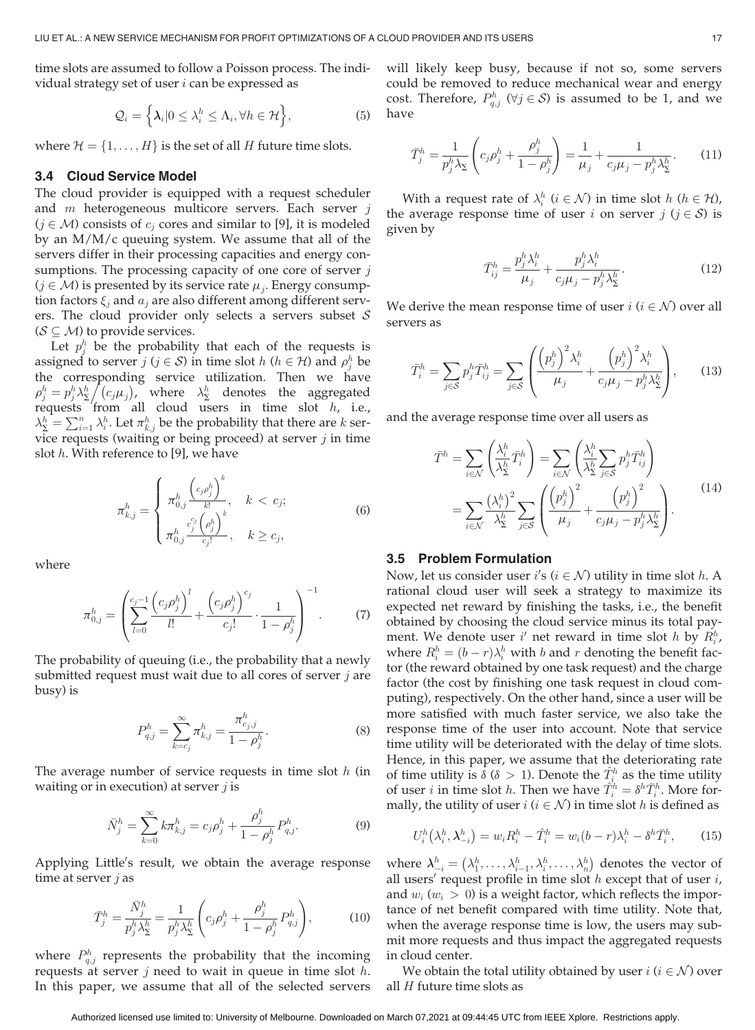time slots are assumed to follow a Poisson process. The individual strategy set of user  $i$  can be expressed as

$$
\mathcal{Q}_i = \left\{ \lambda_i | 0 \le \lambda_i^h \le \Lambda_i, \forall h \in \mathcal{H} \right\},\tag{5}
$$

where  $\mathcal{H} = \{1, \ldots, H\}$  is the set of all H future time slots.

# 3.4 Cloud Service Model

The cloud provider is equipped with a request scheduler and  $m$  heterogeneous multicore servers. Each server  $j$  $(j \in M)$  consists of  $c_j$  cores and similar to [9], it is modeled by an M/M/c queuing system. We assume that all of the servers differ in their processing capacities and energy consumptions. The processing capacity of one core of server  $j$  $(j \in \mathcal{M})$  is presented by its service rate  $\mu_j$ . Energy consumption factors  $\xi_i$  and  $a_i$  are also different among different servers. The cloud provider only selects a servers subset S  $(S \subseteq M)$  to provide services.

Let  $p_i^h$  be the probability that each of the requests is assigned to server  $j$  ( $j \in S$ ) in time slot  $h$  ( $h \in H$ ) and  $\rho_j^h$  be the corresponding service utilization. Then we have the corresponding service utilization. Then we have  $\rho_j^h = p_j^h \lambda_{\Sigma}^h$ requests  $\sum_{i=1}^{h} \left( c_i \mu_j \right)$ , where  $\lambda_{\Sigma}^h$  denotes the aggregated requests from all cloud users in time slot  $h$ , i.e.,  $\lambda_2^h = \sum_{i=1}^n \lambda_i^h$ . Let  $\pi_{k,j}^h$  be the probability that there are k ser-<br>vice requests (waiting or being proceed) at server *i* in time vice requests (waiting or being proceed) at server  $j$  in time slot  $h$ . With reference to [9], we have

$$
\pi_{k,j}^h = \begin{cases}\n\pi_{0,j}^h \frac{\left(c_j \rho_j^h\right)^k}{k!}, & k < c_j; \\
\pi_{0,j}^h \frac{c_j^c \left(\rho_j^h\right)^k}{c_j!}, & k \ge c_j,\n\end{cases}
$$
\n(6)

where

$$
\pi_{0,j}^h = \left(\sum_{l=0}^{c_j-1} \frac{\left(c_j \rho_j^h\right)^l}{l!} + \frac{\left(c_j \rho_j^h\right)^{c_j}}{c_j!} \cdot \frac{1}{1-\rho_j^h}\right)^{-1}.\tag{7}
$$

The probability of queuing (i.e., the probability that a newly submitted request must wait due to all cores of server  $j$  are busy) is

$$
P_{q,j}^h = \sum_{k=c_j}^{\infty} \pi_{k,j}^h = \frac{\pi_{c_j,j}^h}{1 - \rho_j^h}.
$$
 (8)

The average number of service requests in time slot  $h$  (in waiting or in execution) at server  $j$  is

$$
\bar{N}_j^h = \sum_{k=0}^{\infty} k \pi_{k,j}^h = c_j \rho_j^h + \frac{\rho_j^h}{1 - \rho_j^h} P_{q,j}^h.
$$
 (9)

Applying Little's result, we obtain the average response time at server  $j$  as

$$
\bar{T}_j^h = \frac{\bar{N}_j^h}{p_j^h \lambda_\Sigma^h} = \frac{1}{p_j^h \lambda_\Sigma^h} \left( c_j \rho_j^h + \frac{\rho_j^h}{1 - \rho_j^h} P_{q,j}^h \right),\tag{10}
$$

where  $P_{q,i}^{h}$  represents the probability that the incoming requests at server  $j$  need to wait in queue in time slot  $h$ . In this paper, we assume that all of the selected servers will likely keep busy, because if not so, some servers could be removed to reduce mechanical wear and energy cost. Therefore,  $P_{q,j}^{h}$  ( $\forall j \in S$ ) is assumed to be 1, and we have have

$$
\bar{T}_j^h = \frac{1}{p_j^h \lambda_{\Sigma}} \left( c_j \rho_j^h + \frac{\rho_j^h}{1 - \rho_j^h} \right) = \frac{1}{\mu_j} + \frac{1}{c_j \mu_j - p_j^h \lambda_{\Sigma}^h}.
$$
 (11)

With a request rate of  $\lambda_i^h$   $(i \in \mathcal{N})$  in time slot  $h$   $(h \in \mathcal{H})$ , we average response time of user i on server  $i$   $(i \in \mathcal{S})$  is the average response time of user i on server  $j$  ( $j \in S$ ) is given by

$$
\bar{T}_{ij}^h = \frac{p_j^h \lambda_i^h}{\mu_j} + \frac{p_j^h \lambda_i^h}{c_j \mu_j - p_j^h \lambda_\Sigma^h}.
$$
\n(12)

We derive the mean response time of user  $i$  ( $i \in \mathcal{N}$ ) over all servers as

$$
\bar{T}_i^h = \sum_{j \in \mathcal{S}} p_j^h \bar{T}_{ij}^h = \sum_{j \in \mathcal{S}} \left( \frac{\left(p_j^h\right)^2 \lambda_i^h}{\mu_j} + \frac{\left(p_j^h\right)^2 \lambda_i^h}{c_j \mu_j - p_j^h \lambda_\Sigma^h} \right),\tag{13}
$$

and the average response time over all users as

$$
\bar{T}^h = \sum_{i \in \mathcal{N}} \left( \frac{\lambda_i^h}{\lambda_{\Sigma}^h} \bar{T}_i^h \right) = \sum_{i \in \mathcal{N}} \left( \frac{\lambda_i^h}{\lambda_{\Sigma}^h} \sum_{j \in \mathcal{S}} p_j^h \bar{T}_{ij}^h \right)
$$

$$
= \sum_{i \in \mathcal{N}} \frac{\left( \lambda_i^h \right)^2}{\lambda_{\Sigma}^h} \sum_{j \in \mathcal{S}} \left( \frac{\left( p_j^h \right)^2}{\mu_j} + \frac{\left( p_j^h \right)^2}{c_j \mu_j - p_j^h \lambda_{\Sigma}^h} \right). \tag{14}
$$

#### 3.5 Problem Formulation

Now, let us consider user i's  $(i \in \mathcal{N})$  utility in time slot h. A rational cloud user will seek a strategy to maximize its rational cloud user will seek a strategy to maximize its expected net reward by finishing the tasks, i.e., the benefit obtained by choosing the cloud service minus its total payment. We denote user i' net reward in time slot h by  $R_i^h$ , where  $R_i^h = (b - r)\lambda_i^h$  with b and r denoting the benefit factor (the reward obtained by one task request) and the charge tor (the reward obtained by one task request) and the charge factor (the cost by finishing one task request in cloud computing), respectively. On the other hand, since a user will be more satisfied with much faster service, we also take the response time of the user into account. Note that service time utility will be deteriorated with the delay of time slots. Hence, in this paper, we assume that the deteriorating rate of time utility is  $\delta (\delta > 1)$ . Denote the  $\hat{T}^h_i$  as the time utility of user *i* in time slot *b*. Then we have  $\hat{T}^h_i = s^h \hat{T}^h$ . More forof user *i* in time slot *h*. Then we have  $\hat{T}_i^h = \delta^h \overline{T}_i^h$ . More for-<br>mally the utility of user *i*  $(i \in \mathcal{N})$  in time slot *h* is defined as mally, the utility of user  $i$   $(i \in \mathcal{N})$  in time slot h is defined as

$$
U_i^h(\lambda_i^h, \lambda_{-i}^h) = w_i R_i^h - \hat{T}_i^h = w_i (b - r) \lambda_i^h - \delta^h \bar{T}_i^h, \qquad (15)
$$

where  $\lambda_{-i}^h = (\lambda_1^h, \dots, \lambda_{i-1}^h, \lambda_i^h, \dots, \lambda_n^h)$  denotes the vector of all users' required profile in time slot *h* except that of user *i* all users' request profile in time slot  $h$  except that of user  $i$ , and  $w_i$  ( $w_i > 0$ ) is a weight factor, which reflects the importance of net benefit compared with time utility. Note that, when the average response time is low, the users may submit more requests and thus impact the aggregated requests in cloud center.

We obtain the total utility obtained by user  $i$  ( $i \in \mathcal{N}$ ) over all  $H$  future time slots as

Authorized licensed use limited to: University of Melbourne. Downloaded on March 07,2021 at 09:44:45 UTC from IEEE Xplore. Restrictions apply.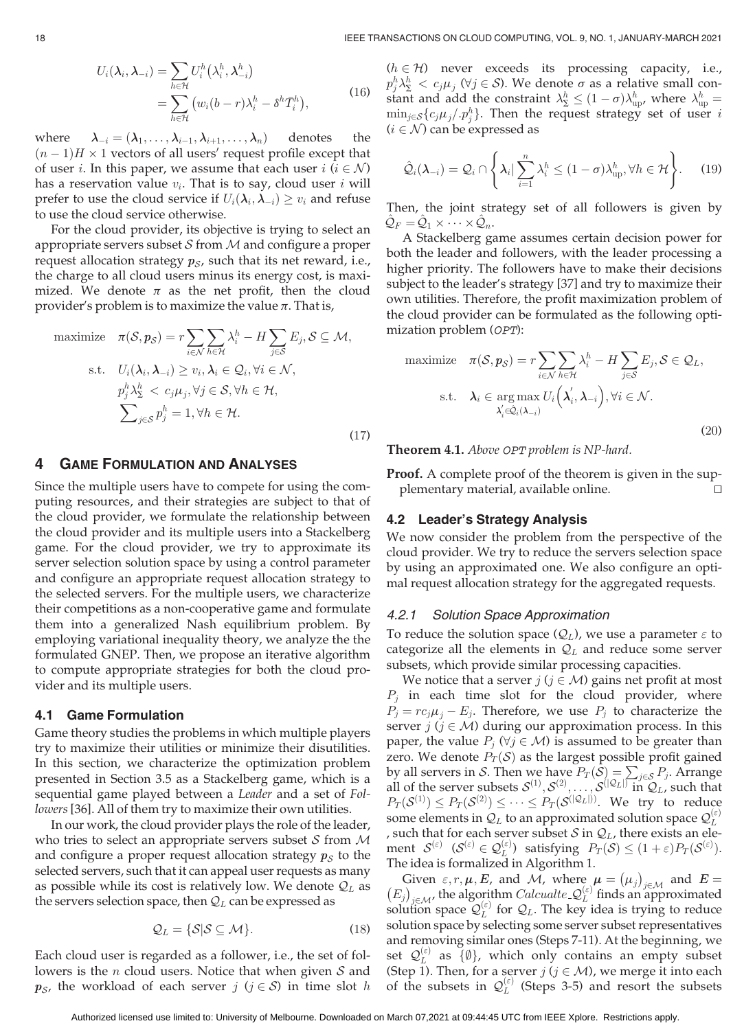$$
U_i(\lambda_i, \lambda_{-i}) = \sum_{h \in \mathcal{H}} U_i^h(\lambda_i^h, \lambda_{-i}^h)
$$
  
= 
$$
\sum_{h \in \mathcal{H}} (w_i(b-r)\lambda_i^h - \delta^h \bar{T}_i^h),
$$
 (16)

where  $\lambda_{i-1} = (\lambda_1, \ldots, \lambda_{i-1}, \lambda_{i+1}, \ldots, \lambda_n)$ <br>1 vectors of all users' request denotes the  $(n-1)H \times 1$  vectors of all users' request profile except that of user *i*. In this paper, we assume that each user  $i$  ( $i \in \mathcal{N}$ ) has a reservation value  $v_i$ . That is to say, cloud user i will prefer to use the cloud service if  $U_i(\lambda_i, \lambda_{-i}) \ge v_i$  and refuse<br>to use the cloud service otherwise to use the cloud service otherwise.

For the cloud provider, its objective is trying to select an appropriate servers subset  $S$  from  $M$  and configure a proper request allocation strategy  $p_{\rm S}$ , such that its net reward, i.e., the charge to all cloud users minus its energy cost, is maximized. We denote  $\pi$  as the net profit, then the cloud provider's problem is to maximize the value  $\pi$ . That is,

maximize 
$$
\pi(S, p_S) = r \sum_{i \in \mathcal{N}} \sum_{h \in \mathcal{H}} \lambda_i^h - H \sum_{j \in S} E_j, S \subseteq \mathcal{M}
$$
,  
s.t.  $U_i(\lambda_i, \lambda_{-i}) \ge v_i, \lambda_i \in \mathcal{Q}_i, \forall i \in \mathcal{N}$ ,  
 $p_j^h \lambda_{\Sigma}^h < c_j \mu_j, \forall j \in S, \forall h \in \mathcal{H}$ ,  
 $\sum_{j \in S} p_j^h = 1, \forall h \in \mathcal{H}$ . (17)

# 4 GAME FORMULATION AND ANALYSES

Since the multiple users have to compete for using the computing resources, and their strategies are subject to that of the cloud provider, we formulate the relationship between the cloud provider and its multiple users into a Stackelberg game. For the cloud provider, we try to approximate its server selection solution space by using a control parameter and configure an appropriate request allocation strategy to the selected servers. For the multiple users, we characterize their competitions as a non-cooperative game and formulate them into a generalized Nash equilibrium problem. By employing variational inequality theory, we analyze the the formulated GNEP. Then, we propose an iterative algorithm to compute appropriate strategies for both the cloud provider and its multiple users.

#### 4.1 Game Formulation

Game theory studies the problems in which multiple players try to maximize their utilities or minimize their disutilities. In this section, we characterize the optimization problem presented in Section 3.5 as a Stackelberg game, which is a sequential game played between a Leader and a set of Followers [36]. All of them try to maximize their own utilities.

In our work, the cloud provider plays the role of the leader, who tries to select an appropriate servers subset  $S$  from  $M$ and configure a proper request allocation strategy  $p<sub>S</sub>$  to the selected servers, such that it can appeal user requests as many as possible while its cost is relatively low. We denote  $\mathcal{Q}_L$  as the servers selection space, then  $\mathcal{Q}_L$  can be expressed as

$$
\mathcal{Q}_L = \{ \mathcal{S} | \mathcal{S} \subseteq \mathcal{M} \}. \tag{18}
$$

Each cloud user is regarded as a follower, i.e., the set of followers is the *n* cloud users. Notice that when given  $S$  and  $p_S$ , the workload of each server  $j$   $(j \in S)$  in time slot h

 $(h \in H)$  never exceeds its processing capacity, i.e.,  $p_j^h \lambda_2^h \leq c_j \mu_j$  ( $\forall j \in S$ ). We denote  $\sigma$  as a relative small constant and add the constraint  $\lambda_2^h \leq (1 - \sigma) \lambda^h$  where  $\lambda^h =$ stant and add the constraint  $\lambda_2^h \leq (1 - \sigma) \lambda_{\text{up}}^h$ , where  $\lambda_{\text{up}}^h$  min  $\leq \frac{\sigma}{2} C \mu / n^h$ . Then the request strategy set of use  $\min_{j \in S} \{c_j \mu_j / p_j^h\}$ . Then the request strategy set of user it  $(i \in \mathcal{N})$  can be expressed as  $(i \in \mathcal{N})$  can be expressed as

$$
\hat{\mathcal{Q}}_i(\lambda_{-i}) = \mathcal{Q}_i \cap \left\{ \lambda_i \middle| \sum_{i=1}^n \lambda_i^h \le (1 - \sigma) \lambda_{\text{up}}^h, \forall h \in \mathcal{H} \right\}.
$$
 (19)

Then, the joint strategy set of all followers is given by  $\mathcal{Q}_F = \mathcal{Q}_1 \times \cdots \times \mathcal{Q}_n.$ 

A Stackelberg game assumes certain decision power for both the leader and followers, with the leader processing a higher priority. The followers have to make their decisions subject to the leader's strategy [37] and try to maximize their own utilities. Therefore, the profit maximization problem of the cloud provider can be formulated as the following optimization problem (OPT):

maximize 
$$
\pi(S, p_S) = r \sum_{i \in \mathcal{N}} \sum_{h \in \mathcal{H}} \lambda_i^h - H \sum_{j \in \mathcal{S}} E_j, S \in \mathcal{Q}_L,
$$
  
s.t.  $\lambda_i \in \arg \max_{\lambda_i' \in \hat{\mathcal{Q}}_i(\lambda_{-i})} U_i(\lambda_i', \lambda_{-i}), \forall i \in \mathcal{N}.$  (20)

Theorem 4.1. Above OPT problem is NP-hard.

Proof. A complete proof of the theorem is given in the supplementary material, available online.  $\Box$ 

#### 4.2 Leader's Strategy Analysis

We now consider the problem from the perspective of the cloud provider. We try to reduce the servers selection space by using an approximated one. We also configure an optimal request allocation strategy for the aggregated requests.

## 4.2.1 Solution Space Approximation

To reduce the solution space  $(Q_L)$ , we use a parameter  $\varepsilon$  to categorize all the elements in  $\mathcal{Q}_L$  and reduce some server subsets, which provide similar processing capacities.

We notice that a server  $j$  ( $j \in M$ ) gains net profit at most  $P_i$  in each time slot for the cloud provider, where  $P_i = rc_i\mu_i - E_j$ . Therefore, we use  $P_i$  to characterize the server  $j$  ( $j \in M$ ) during our approximation process. In this paper, the value  $P_i$  ( $\forall j \in \mathcal{M}$ ) is assumed to be greater than zero. We denote  $P_T(\mathcal{S})$  as the largest possible profit gained by all servers in S. Then we have  $P_T(\overline{S}) = \sum_{j \in S} P_j$ . Arrange all of the server subsets  $S^{(1)}S^{(2)}$   $S^{(2)}$   $S^{(2)}$  in  $O_2$  such that all of the server subsets  $S^{(1)}, S^{(2)}, \ldots, S^{(|\mathcal{Q}_L|)}$  in  $\mathcal{Q}_L$ , such that  $P_T(S^{(1)}) \leq P_T(S^{(2)}) \leq \ldots \leq P_T(S^{(|\mathcal{Q}_L|)})$ . We try to reduce  $P_T(\mathcal{S}^{(1)}) \leq P_T(\mathcal{S}^{(2)}) \leq \cdots \leq P_T(\mathcal{S}^{(|\mathcal{Q}_L|)}).$  We try to reduce some elements in  $Q_L$  to an approximated solution space  $Q_L^{(\varepsilon)}$ <br>such that for each server subset S in O, there exists an ele-, such that for each server subset  $S$  in  $\mathcal{Q}_L$ , there exists an element  $S^{(\varepsilon)}$   $(S^{(\varepsilon)} \in \mathcal{Q}_{L}^{(\varepsilon)})$  satisfying  $P_T(S) \leq (1 + \varepsilon)P_T(S^{(\varepsilon)})$ .<br>The idea is formalized in Algorithm 1 The idea is formalized in Algorithm 1.

Given  $\varepsilon, r, \mu, E$ , and  $\overline{\mathcal{M}}$ , where  $\mu = (\mu_j)_{j \in \mathcal{M}}$  and  $E =$ <br>  $\Delta$  the algorithm *Colcualte*  $Q^{(\varepsilon)}$  *finds* an approximated  $(E_j)_{j \in \mathcal{M}}$ , the algorithm *Calcualte*  $\mathcal{Q}_L^{(\varepsilon)}$  finds an approximated solution space  $\mathcal{Q}_L^{(\varepsilon)}$  for  $\mathcal{O}_L$ . The key idea is trying to reduce  $\sum_{L=0}^{\infty} \frac{1}{2} \sum_{j,k=0}^{\infty}$  for  $\mathcal{Q}_L$ . The key idea is trying to reduce<br>solution space  $\mathcal{Q}_L^{(k)}$  for  $\mathcal{Q}_L$ . The key idea is trying to reduce solution space by selecting some server subset representatives and removing similar ones (Steps 7-11). At the beginning, we set  $Q_L^{(\varepsilon)}$  as  $\{\emptyset\}$ , which only contains an empty subset<br>(Step 1) Then for a server  $i (i \in M)$  we merge it into each (Step 1). Then, for a server  $j$  ( $j \in M$ ), we merge it into each of the subsets in  $Q_L^{(\varepsilon)}$  (Steps 3-5) and resort the subsets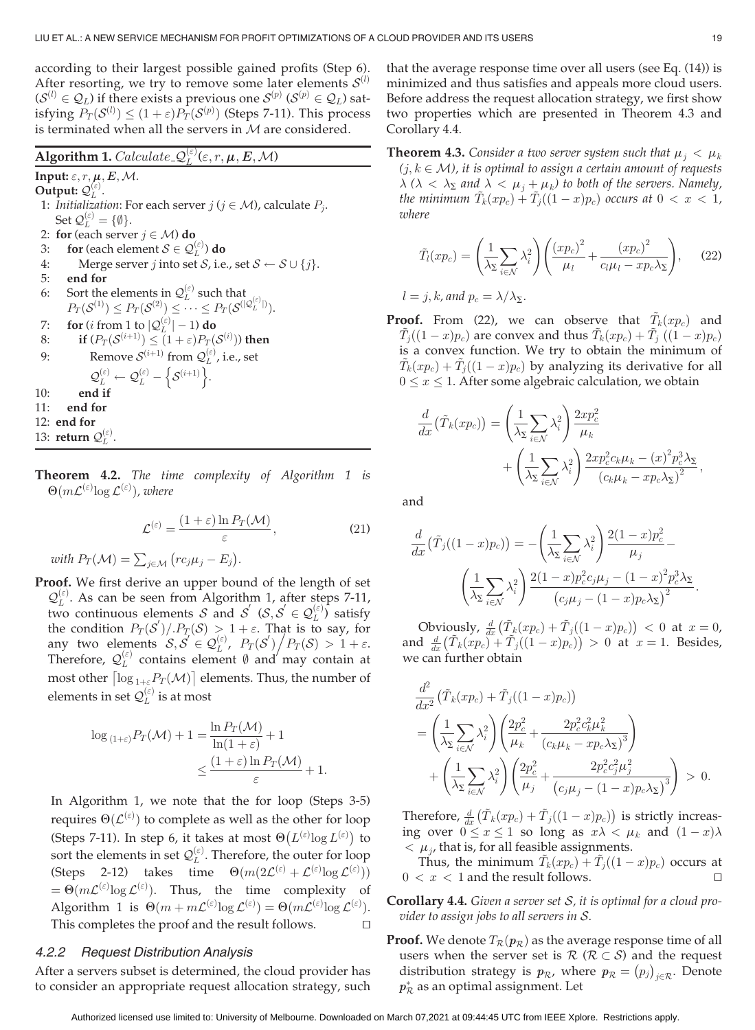according to their largest possible gained profits (Step 6). After resorting, we try to remove some later elements  $\mathcal{S}^{(l)}$  $(S^{(l)} \in \mathcal{Q}_L)$  if there exists a previous one  $\mathcal{S}^{(p)}$   $(S^{(p)} \in \mathcal{Q}_L)$  satisfying  $P_T(\mathcal{S}^{(l)}) \leq (1+\varepsilon)P_T(\mathcal{S}^{(p)})$  (Steps 7-11). This process<br>is terminated when all the servers in M are considered is terminated when all the servers in M are considered.

Algorithm 1. Calculate  $\mathcal{Q}_L^{(\varepsilon)}(\varepsilon,r,\mu,E,\mathcal{M})$ 

Input:  $\varepsilon$ ,  $r$ ,  $\mu$ ,  $E$ ,  $\mathcal{M}$ . **Output:**  $Q_L^{(\varepsilon)}$ .<br>1. Initializat 1: *Initialization*: For each server  $j$  ( $j \in M$ ), calculate  $P_j$ . Set  $\mathcal{Q}_L^{(\varepsilon)} = \{\emptyset\}.$ for (each serve 2: **for** (each server  $j \in M$ ) **do**<br>3: **for** (each element  $S \in \mathcal{Q}$ ) 3: for (each element  $S \in \mathcal{Q}_L^{(\varepsilon)}$ ) do 4. Merge server *i* into set *S* i e 4: Merge server *j* into set *S*, i.e., set *S*  $\leftarrow$  *S* $\cup$  {*j*}.<br>5: end for end for 6: Sort the elements in  $\mathcal{Q}_L^{(\varepsilon)}$  such that  $P_{\text{Tr}}(S^{(1)}) < P_{\text{Tr}}(S^{(2)}) < \ldots < P_{\text{Tr}}(S^{(1)})$  $Pr(S^{(1)}) \le Pr(S^{(2)}) \le \cdots \le Pr(S^{(|\mathcal{Q}_L^{(\varepsilon)}|)}).$ 7: for (i from 1 to  $|Q_L^{(\varepsilon)}| - 1$ ) do<br>8: if  $(P_T(S^{(i+1)}) < (1 + \varepsilon)P_T(s)$ 7: for (*i* from 1 to  $|Q_L^{(s)}| - 1$ ) do<br>8: if  $(P_T(S^{(i+1)}) \leq (1+\varepsilon)P_T(S^{(i)}))$  then<br>0. Remeves  $S^{(i+1)}$  from  $Q^{(s)}$  i.e. ast 9: Remove  $S^{(i+1)}$  from  $Q_L^{(\varepsilon)}$ , i.e., set  $\mathcal{Q}_L^{(\varepsilon)} \leftarrow \mathcal{Q}_L^{(\varepsilon)} - \left\{ \mathcal{S}^{(i+1)} \right\}.$ rd if  $10:$ 11: end for 12: end for 13: **return**  $Q_L^{(\varepsilon)}$ .

Theorem 4.2. The time complexity of Algorithm 1 is  $\Theta(m\mathcal{L}^{(\varepsilon)}\log\mathcal{L}^{(\varepsilon)})$ , where

$$
\mathcal{L}^{(\varepsilon)} = \frac{(1+\varepsilon)\ln P_T(\mathcal{M})}{\varepsilon},\tag{21}
$$

with  $P_T(\mathcal{M}) = \sum_{j \in \mathcal{M}} (r c_j \mu_j - E_j).$ 

Proof. We first derive an upper bound of the length of set  $Q_L^{(\varepsilon)}$ . As can be seen from Algorithm 1, after steps 7-11,<br>two continuous elements S and S' (S S'  $\in O^{(\varepsilon)}$ ) satisfy two continuous elements S and  $S'$   $(S, S' \in \mathcal{Q}_L^{(\varepsilon)})$  satisfy<br>the condition  $P_{\varepsilon}(S') / P_{\varepsilon}(S) > 1 + \varepsilon$ . That is to say for the condition  $P_T(S')/P_T(S) > 1 + \varepsilon$ . That is to say, for<br>any two elements  $S S' \in O^{(\varepsilon)}$   $P_T(S')/P_T(S) > 1 + \varepsilon$ any two elements  $S, S \in \mathcal{Q}_L^{(\varepsilon)}$ ,  $P_T(S')$ <br>Therefore  $Q^{(\varepsilon)}$  contains element  $\emptyset$  and  $\sqrt{P_T(\mathcal{S}) > 1 + \varepsilon}.$ <br>may contain at Therefore,  $Q_L^{(\varepsilon)}$  contains element  $\emptyset$  and may contain at most other  $\lceil \log_{1+\varepsilon} P_T(\mathcal{M}) \rceil$  elements. Thus, the number of elements in set  $\mathcal{Q}_L^{(\varepsilon)}$  is at most

$$
\log_{(1+\varepsilon)} P_T(\mathcal{M}) + 1 = \frac{\ln P_T(\mathcal{M})}{\ln(1+\varepsilon)} + 1
$$
  

$$
\leq \frac{(1+\varepsilon)\ln P_T(\mathcal{M})}{\varepsilon} + 1.
$$

In Algorithm 1, we note that the for loop (Steps 3-5) requires  $\Theta(\mathcal{L}^{(\varepsilon)})$  to complete as well as the other for loop (Steps 7-11). In step 6, it takes at most  $\Theta(L^{(\varepsilon)} \log L^{(\varepsilon)})$  to see the elements in eqt  $\Theta^{(\varepsilon)}$ . Therefore, the enter for loop sort the elements in set  $Q_{L}^{(\varepsilon)}$ . Therefore, the outer for loop (Steps 2-12) takes time  $\Theta(m(2\mathcal{L}^{(\varepsilon)}+\mathcal{L}^{(\varepsilon)})\log\mathcal{L}^{(\varepsilon)})$  $\Phi = \Theta(m\mathcal{L}^{(\varepsilon)})$ . Thus, the time complexity of Algorithm 1 is  $\Theta(m + m\mathcal{L}^{(\varepsilon)}\log \mathcal{L}^{(\varepsilon)}) = \Theta(m\mathcal{L}^{(\varepsilon)}\log \mathcal{L}^{(\varepsilon)})$ . This completes the proof and the result follows.  $\Box$ 

#### 4.2.2 Request Distribution Analysis

After a servers subset is determined, the cloud provider has to consider an appropriate request allocation strategy, such that the average response time over all users (see Eq. (14)) is minimized and thus satisfies and appeals more cloud users. Before address the request allocation strategy, we first show two properties which are presented in Theorem 4.3 and Corollary 4.4.

**Theorem 4.3.** Consider a two server system such that  $\mu_i < \mu_k$  $(j, k \in \mathcal{M})$ , it is optimal to assign a certain amount of requests  $\lambda$  ( $\lambda < \lambda_{\Sigma}$  and  $\lambda < \mu_{j} + \mu_{k}$ ) to both of the servers. Namely,<br>the minimum  $\tilde{T}_{k}(r_{1},\lambda) + \tilde{T}_{k}((1-r_{1},\lambda))$  occurs at  $0 < r < 1$ the minimum  $\tilde{T}_k(xp_c) + \tilde{T}_j((1-x)p_c)$  occurs at  $0 < x < 1$ , where where

$$
\tilde{T}_l(xp_c) = \left(\frac{1}{\lambda_{\Sigma}} \sum_{i \in \mathcal{N}} \lambda_i^2\right) \left(\frac{(xp_c)^2}{\mu_l} + \frac{(xp_c)^2}{c_l\mu_l - xp_c\lambda_{\Sigma}}\right),\tag{22}
$$

 $l = j, k$ , and  $p_c = \lambda/\lambda_{\Sigma}$ .

**Proof.** From (22), we can observe that  $\tilde{T}_k(xp_c)$  and  $\tilde{T}_k(t-1-x)p$  are convex and thus  $\tilde{T}_k(xp) + \tilde{T}_k(t-1-x)p$  $\tilde{T}_j((1-x)p_c)$  are convex and thus  $\tilde{T}_k(xp_c) + \tilde{T}_j((1-x)p_c)$ <br>is a convex function. We try to obtain the minimum of is a convex function. We try to obtain the minimum of  $\tilde{T}_k(xp_c) + \tilde{T}_j((1-x)p_c)$  by analyzing its derivative for all  $0 \leq x \leq 1$ . After some algebraic calculation, we obtain  $0 \leq x \leq 1$ . After some algebraic calculation, we obtain

$$
\frac{d}{dx}(\tilde{T}_k(xp_c)) = \left(\frac{1}{\lambda_{\Sigma}} \sum_{i \in \mathcal{N}} \lambda_i^2\right) \frac{2xp_c^2}{\mu_k} + \left(\frac{1}{\lambda_{\Sigma}} \sum_{i \in \mathcal{N}} \lambda_i^2\right) \frac{2xp_c^2c_k\mu_k - (x)^2p_c^3\lambda_{\Sigma}}{(c_k\mu_k - xp_c\lambda_{\Sigma})^2},
$$

and

$$
\frac{d}{dx}(\tilde{T}_j((1-x)p_c)) = -\left(\frac{1}{\lambda_{\Sigma}}\sum_{i\in\mathcal{N}}\lambda_i^2\right)\frac{2(1-x)p_c^2}{\mu_j} - \left(\frac{1}{\lambda_{\Sigma}}\sum_{i\in\mathcal{N}}\lambda_i^2\right)\frac{2(1-x)p_c^2c_j\mu_j - (1-x)^2p_c^3\lambda_{\Sigma}}{(c_j\mu_j - (1-x)p_c\lambda_{\Sigma})^2}.
$$

Obviously,  $\frac{d}{dx}(\tilde{T}_k(xp_c) + \tilde{T}_j((1-x)p_c)) < 0$  at  $x = 0$ ,<br>  $\frac{d}{dx}(\tilde{T}_k(xp_c) + \tilde{T}_j((1-x)p_c)) > 0$  at  $x = 1$  Besides and  $\frac{d}{dx}(\tilde{T}_k(xp_c)^{n} + \tilde{T}_j((1-x)p_c)) > 0$  at  $x = 1$ . Besides, we can further obtain

$$
\frac{d^2}{dx^2} \left( \tilde{T}_k(xp_c) + \tilde{T}_j((1-x)p_c) \right)
$$
\n
$$
= \left( \frac{1}{\lambda_{\Sigma}} \sum_{i \in \mathcal{N}} \lambda_i^2 \right) \left( \frac{2p_c^2}{\mu_k} + \frac{2p_c^2 c_k^2 \mu_k^2}{(c_k \mu_k - x p_c \lambda_{\Sigma})^3} \right)
$$
\n
$$
+ \left( \frac{1}{\lambda_{\Sigma}} \sum_{i \in \mathcal{N}} \lambda_i^2 \right) \left( \frac{2p_c^2}{\mu_j} + \frac{2p_c^2 c_j^2 \mu_j^2}{(c_j \mu_j - (1-x)p_c \lambda_{\Sigma})^3} \right) > 0.
$$

Therefore,  $\frac{d}{dx}(\tilde{T}_k(xp_c) + \tilde{T}_j((1-x)p_c))$  is strictly increasing over  $0 \le x \le 1$  so long as  $x\lambda < \mu_k$  and  $(1-x)\lambda$ <br>  $\le \mu_k$  that is for all feasible assignments  $< \mu_{i}$ , that is, for all feasible assignments.

Thus, the minimum  $\tilde{T}_k(x_{p_c}) + \tilde{T}_j((1-x)p_c)$  occurs at  $0 < x < 1$  and the result follows.

**Corollary 4.4.** Given a server set  $S$ , it is optimal for a cloud provider to assign jobs to all servers in S.

**Proof.** We denote  $T_{\mathcal{R}}(\boldsymbol{p}_{\mathcal{R}})$  as the average response time of all users when the server set is  $\mathcal{R}$  ( $\mathcal{R} \subset \mathcal{S}$ ) and the request distribution strategy is  $p_{\mathcal{R}}$ , where  $p_{\mathcal{R}} = (p_j)_{j \in \mathcal{R}}$ . Denote  $p_{\mathcal{R}}^*$  as an optimal assignment. Let

Authorized licensed use limited to: University of Melbourne. Downloaded on March 07,2021 at 09:44:45 UTC from IEEE Xplore. Restrictions apply.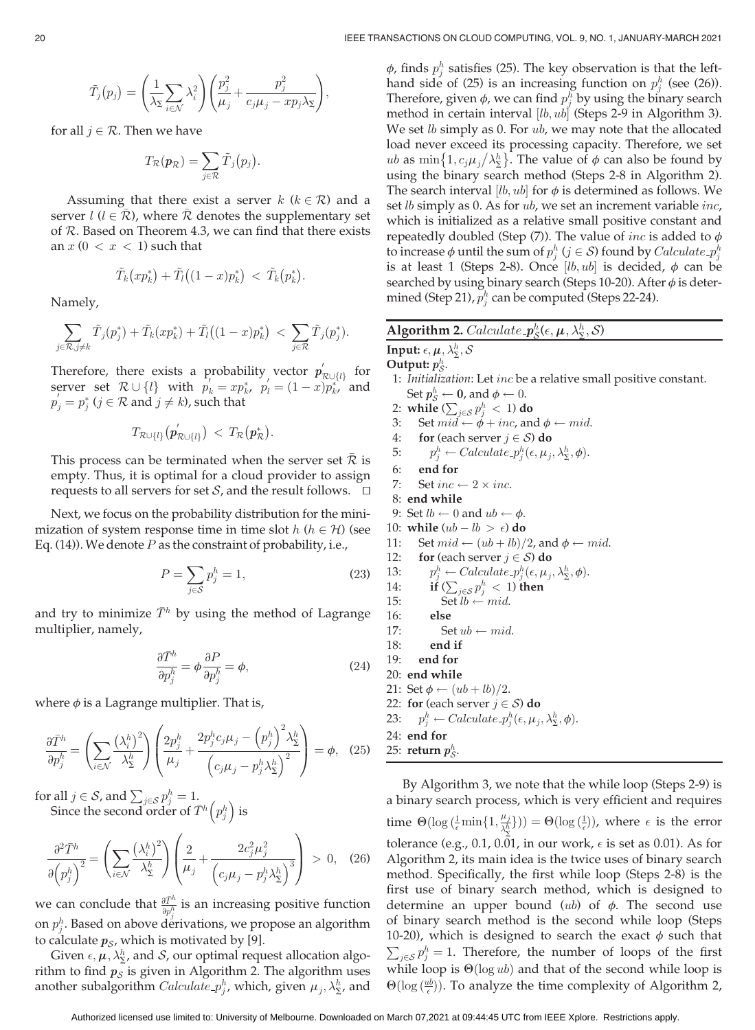$$
\tilde{T}_j(p_j) = \left(\frac{1}{\lambda_{\Sigma}} \sum_{i \in \mathcal{N}} \lambda_i^2\right) \left(\frac{p_j^2}{\mu_j} + \frac{p_j^2}{c_j \mu_j - x p_j \lambda_{\Sigma}}\right),\,
$$

for all  $j \in \mathcal{R}$ . Then we have

$$
T_{\mathcal{R}}(\boldsymbol{p}_{\mathcal{R}})=\sum_{j\in\mathcal{R}}\tilde{T}_{j}(p_{j}).
$$

Assuming that there exist a server  $k$  ( $k \in \mathcal{R}$ ) and a server  $l$  ( $l \in \bar{\mathcal{R}}$ ), where  $\bar{\mathcal{R}}$  denotes the supplementary set of  $\mathcal{R}$ . Based on Theorem 4.3, we can find that there exists of  $R$ . Based on Theorem 4.3, we can find that there exists an  $x(0 < x < 1)$  such that

$$
\tilde{T}_k\big(x p_k^*\big) + \tilde{T}_l\big((1-x)p_k^*\big) < \tilde{T}_k\big(p_k^*\big).
$$

Namely,

$$
\sum_{j\in\mathcal{R},j\neq k}\tilde{T}_j(p_j^*)+\tilde{T}_k(xp_k^*)+\tilde{T}_l\big((1-x)p_k^*\big)<\sum_{j\in\mathcal{R}}\tilde{T}_j(p_j^*).
$$

Therefore, there exists a probability vector  $p'_{R\cup\{l\}}$  for server set  $R\cup\{l\}$  with  $p'_{l} = rn^*$ ,  $p'_{l} = (1 - T)n^*$  and server set  $\mathcal{R} \cup \{l\}$  with  $p_k^{\dagger} = xp_{k'}^*$ ,  $p_l^{\dagger} = (1-x)p_{k'}^{*C}$  and  $p_k^{\dagger} = n^*$  ( $i \in \mathcal{R}$  and  $i \neq k$ ) such that  $p'_{j} = p_{j}^{*}$   $(j \in \mathcal{R}$  and  $j \neq k$ ), such that

$$
T_{\mathcal{R}\cup\{l\}}(\boldsymbol{p}_{\mathcal{R}\cup\{l\}}') < T_{\mathcal{R}}(\boldsymbol{p}_{\mathcal{R}}^*).
$$

This process can be terminated when the server set  $\mathcal R$  is<br>empty. Thus, it is optimal for a cloud provider to assign empty. Thus, it is optimal for a cloud provider to assign requests to all servers for set  $S$ , and the result follows.

Next, we focus on the probability distribution for the min mization of system response time in time slot  $h(h \in H)$  (see Eq.  $(14)$ ). We denote P as the constraint of probability, i.e.,

$$
P = \sum_{j \in \mathcal{S}} p_j^h = 1,\tag{23}
$$

and try to minimize  $\bar{T}^h$  by using the method of Lagrange multiplier, namely,

$$
\frac{\partial \bar{T}^h}{\partial p_i^h} = \phi \frac{\partial P}{\partial p_j^h} = \phi,
$$
\n(24)

where  $\phi$  is a Lagrange multiplier. That is,

$$
\frac{\partial \bar{T}^h}{\partial p_j^h} = \left(\sum_{i \in \mathcal{N}} \frac{\left(\lambda_i^h\right)^2}{\lambda_{\Sigma}^h}\right) \left(\frac{2p_j^h}{\mu_j} + \frac{2p_j^h c_j \mu_j - \left(p_j^h\right)^2 \lambda_{\Sigma}^h}{\left(c_j \mu_j - p_j^h \lambda_{\Sigma}^h\right)^2}\right) = \phi, \quad (25)
$$

for all  $j \in S$ , and  $\sum_{j \in S} p_j^h = 1$ .<br>Since the second order of  $\overline{J}$ 

Since the second order of  $\bar{T}^h(p_j^h)$  is

$$
\frac{\partial^2 \bar{T}^h}{\partial \left(p_j^h\right)^2} = \left(\sum_{i \in \mathcal{N}} \frac{\left(\lambda_i^h\right)^2}{\lambda_{\Sigma}^h}\right) \left(\frac{2}{\mu_j} + \frac{2c_j^2 \mu_j^2}{\left(c_j \mu_j - p_j^h \lambda_{\Sigma}^h\right)^3}\right) > 0, \quad (26)
$$

we can conclude that  $\frac{\partial \bar{T}^h}{\partial p_j^h}$  is an increasing positive function on  $p_j^h$ . Based on above derivations, we propose an algorithm to calculate  $p_S$ , which is motivated by [9].

Given  $\epsilon, \mu, \lambda_2^h$ , and S, our optimal request allocation algo-<br>nm to find  $n_2$  is given in Algorithm 2. The algorithm uses rithm to find  $p<sub>S</sub>$  is given in Algorithm 2. The algorithm uses another subalgorithm *Calculate*- $p_j^h$ , which, given  $\mu_j$ ,  $\lambda_{\Sigma}^h$ , and

 $\phi$ , finds  $p_j^h$  satisfies (25). The key observation is that the lefthand side of (25) is an increasing function on  $p_j^h$  (see (26)). Therefore, given  $\phi$ , we can find  $p_j^h$  by using the binary search method in certain interval  $[lb, ub]$  (Steps 2-9 in Algorithm 3). We set  $lb$  simply as 0. For  $ub$ , we may note that the allocated load never exceed its processing capacity. Therefore, we set *ub* as  $\min\{1, c_j\mu_j/\lambda_{\Sigma}^h\}$ . The value of  $\phi$  can also be found by using the hinary search method (Steps 2-8 in Algorithm 2) using the binary search method (Steps 2-8 in Algorithm 2). The search interval [lb, ub] for  $\phi$  is determined as follows. We set *lb* simply as 0. As for *ub*, we set an increment variable *inc*, which is initialized as a relative small positive constant and repeatedly doubled (Step (7)). The value of *inc* is added to  $\phi$ to increase  $\phi$  until the sum of  $p_j^h$   $(j \in S)$  found by *Calculate*  $p_j^h$ <br>is at least 1 (Steps 2-8) Once  $[h]$  *ub* is decided  $\phi$  can be is at least 1 (Steps 2-8). Once  $[lb, ub]$  is decided,  $\phi$  can be searched by using binary search (Steps 10-20). After  $\phi$  is determined (Step 21),  $p_i^h$  can be computed (Steps 22-24).

|     | <b>Algorithm 2.</b> Calculate $\mathbf{p}_{\mathcal{S}}^h(\epsilon, \mu, \lambda_{\Sigma}^h, \mathcal{S})$                                                                                                |
|-----|-----------------------------------------------------------------------------------------------------------------------------------------------------------------------------------------------------------|
|     | Input: $\epsilon, \mu, \lambda_{\Sigma}^h, \mathcal{S}$                                                                                                                                                   |
|     | Output: $p_S^h$ .                                                                                                                                                                                         |
|     | 1: Initialization: Let inc be a relative small positive constant.                                                                                                                                         |
|     | Set $p_S^h \leftarrow 0$ , and $\phi \leftarrow 0$ .                                                                                                                                                      |
|     | 2: while $(\sum_{i \in S} p_i^h < 1)$ do                                                                                                                                                                  |
| 3:  | Set $mid \leftarrow \dot{\phi} + inc$ , and $\phi \leftarrow mid$ .                                                                                                                                       |
| 4:  | <b>for</b> (each server $j \in \mathcal{S}$ ) <b>do</b>                                                                                                                                                   |
| 5:  | $p_j^h \leftarrow Calculate\_p_j^h(\epsilon, \mu_j, \lambda_{\Sigma}^h, \phi).$                                                                                                                           |
| 6:  | end for                                                                                                                                                                                                   |
| 7:  | Set inc $\leftarrow 2 \times inc$ .                                                                                                                                                                       |
|     | 8: end while                                                                                                                                                                                              |
|     | 9: Set $lb \leftarrow 0$ and $ub \leftarrow \phi$ .                                                                                                                                                       |
|     | 10: while $(ub - lb > \epsilon)$ do                                                                                                                                                                       |
| 11: | Set $mid \leftarrow (ub + lb)/2$ , and $\phi \leftarrow mid$ .                                                                                                                                            |
| 12: | <b>for</b> (each server $j \in S$ ) <b>do</b>                                                                                                                                                             |
|     | $p_j^h \leftarrow Calculate\_p_j^h(\epsilon, \mu_j, \lambda_{\Sigma}^h, \phi).$<br>13: $p_j^h \leftarrow Calculate\_p_j^h(\epsilon, \mu)$<br>14: $\textbf{if } (\sum_{j \in S} p_j^h < 1) \textbf{ then}$ |
|     |                                                                                                                                                                                                           |
| 15: | Set $lb \leftarrow mid$ .                                                                                                                                                                                 |
| 16: | else                                                                                                                                                                                                      |
| 17: | Set $ub \leftarrow mid$ .                                                                                                                                                                                 |
| 18: | end if                                                                                                                                                                                                    |
| 19: | end for                                                                                                                                                                                                   |
|     | 20: end while                                                                                                                                                                                             |
|     | 21: Set $\phi \leftarrow (ub + lb)/2$ .                                                                                                                                                                   |
|     | 22: for (each server $j \in S$ ) do                                                                                                                                                                       |
| 23: | $p_j^h \leftarrow Calculate\_p_j^h(\epsilon, \mu_j, \lambda_{\Sigma}^h, \phi).$                                                                                                                           |
|     | 24: end for                                                                                                                                                                                               |
|     | 25: return $p_S^h$ .                                                                                                                                                                                      |
|     |                                                                                                                                                                                                           |

By Algorithm 3, we note that the while loop (Steps 2-9) is a binary search process, which is very efficient and requires time  $\Theta(\log(\frac{1}{\epsilon} \min\{1, \frac{\mu_j}{\lambda_{\Sigma}^h})$  $(\frac{\mu_j}{\lambda_{\Sigma}^{h}})) = \Theta(\log(\frac{1}{\epsilon}))$ , where  $\epsilon$  is the error tolerance (e.g., 0.1, 0.01, in our work,  $\epsilon$  is set as 0.01). As for Algorithm 2, its main idea is the twice uses of binary search method. Specifically, the first while loop (Steps 2-8) is the first use of binary search method, which is designed to determine an upper bound  $(ub)$  of  $\phi$ . The second use of binary search method is the second while loop (Steps 10-20), which is designed to search the exact  $\phi$  such that  $\sum_{j \in S} p_j^h = 1$ . Therefore, the number of loops of the first<br>while loop is  $\Theta(\log w h)$  and that of the second while loop is while loop is  $\Theta(\log ub)$  and that of the second while loop is  $\Theta(\log(\frac{ub}{\epsilon}))$ . To analyze the time complexity of Algorithm 2,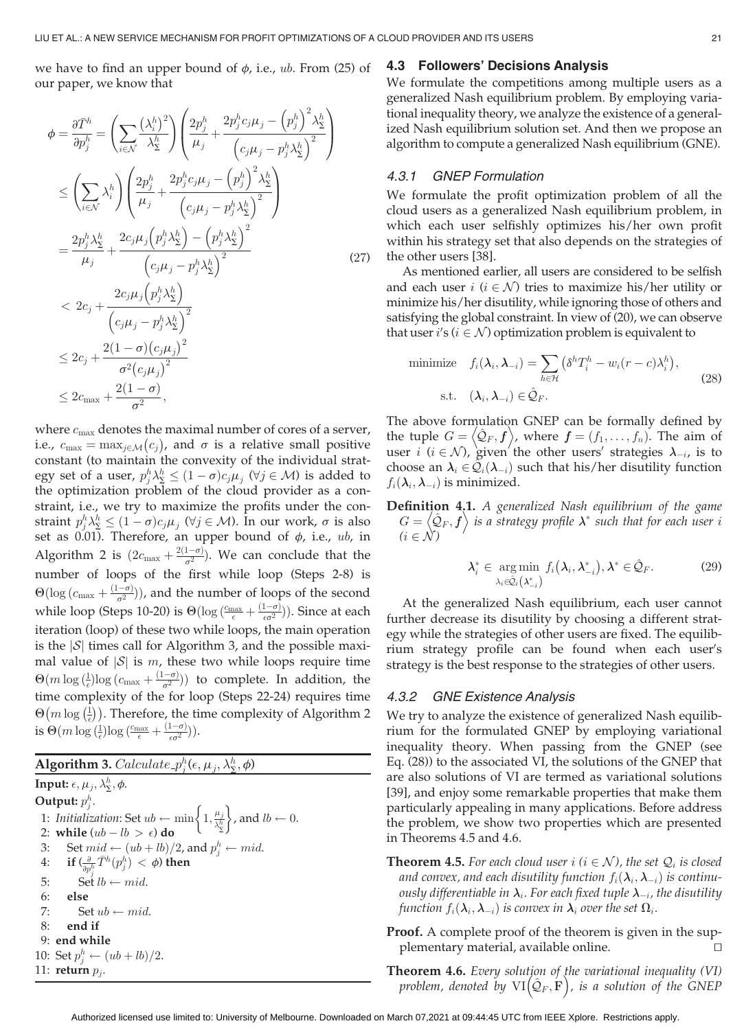we have to find an upper bound of  $\phi$ , i.e., ub. From (25) of our paper, we know that

$$
\phi = \frac{\partial \overline{T}^h}{\partial p_j^h} = \left(\sum_{i \in \mathcal{N}} \frac{(\lambda_i^h)^2}{\lambda_{\Sigma}^h}\right) \left(\frac{2p_j^h}{\mu_j} + \frac{2p_j^h c_j \mu_j - (p_j^h)^2 \lambda_{\Sigma}^h}{(c_j \mu_j - p_j^h \lambda_{\Sigma}^h)^2}\right)
$$
\n
$$
\leq \left(\sum_{i \in \mathcal{N}} \lambda_i^h\right) \left(\frac{2p_j^h}{\mu_j} + \frac{2p_j^h c_j \mu_j - (p_j^h)^2 \lambda_{\Sigma}^h}{(c_j \mu_j - p_j^h \lambda_{\Sigma}^h)^2}\right)
$$
\n
$$
= \frac{2p_j^h \lambda_{\Sigma}^h}{\mu_j} + \frac{2c_j \mu_j (p_j^h \lambda_{\Sigma}^h) - (p_j^h \lambda_{\Sigma}^h)^2}{(c_j \mu_j - p_j^h \lambda_{\Sigma}^h)^2}
$$
\n
$$
< 2c_j + \frac{2c_j \mu_j (p_j^h \lambda_{\Sigma}^h)}{(c_j \mu_j - p_j^h \lambda_{\Sigma}^h)^2}
$$
\n
$$
\leq 2c_j + \frac{2(1 - \sigma)(c_j \mu_j)^2}{\sigma^2 (c_j \mu_j)^2}
$$
\n
$$
\leq 2c_{\text{max}} + \frac{2(1 - \sigma)}{\sigma^2},
$$
\n(27)

where  $c_{\text{max}}$  denotes the maximal number of cores of a server, i.e.,  $c_{\text{max}} = \max_{j \in \mathcal{M}} (c_j)$ , and  $\sigma$  is a relative small positive constant (to maintain the convexity of the individual stratconstant (to maintain the convexity of the individual strategy set of a user,  $p_j^h \lambda_{\Sigma}^h \leq (1 - \sigma) c_j \mu_j$  ( $\forall j \in \mathcal{M}$ ) is added to the optimization problem of the cloud provider as a conthe optimization problem of the cloud provider as a constraint, i.e., we try to maximize the profits under the constraint  $p_j^h \lambda_k^h \leq (1 - \sigma)c_j \mu_j$  ( $\forall j \in \mathcal{M}$ ). In our work,  $\sigma$  is also<br>set as 0.01). Therefore, an upper bound of  $\phi$  i.e.,  $y h$  in set as 0.01). Therefore, an upper bound of  $\phi$ , i.e., ub, in Algorithm 2 is  $(2c_{\text{max}} + \frac{2(1-\sigma)}{\sigma^2})$ . We can conclude that the number of loops of the first while loop (Steps 2-8) is  $\Theta(\log (c_{\text{max}} + \frac{(1-\sigma)}{\sigma^2}))$ , and the number of loops of the second while loop (Steps 10-20) is  $\Theta(\log(\frac{c_{\max}}{\epsilon} + \frac{(1-\sigma)}{\epsilon \sigma^2}))$ . Since at each iteration (loop) of these two while loops, the main operation is the  $|S|$  times call for Algorithm 3, and the possible maximal value of  $|S|$  is m, these two while loops require time  $\Theta(m \log{(\frac{1}{c})\log{(c_{\max} + \frac{(1-\sigma)}{\sigma^2})}})$  to complete. In addition, the time complexity of the for loop (Steps 22-24) requires time  $\Theta(m \log{(\frac{1}{\epsilon})})$ . Therefore, the time complexity of Algorithm 2 is  $\Theta(m \log(\frac{1}{\epsilon}) \log(n))$  $\frac{c_{\text{max}}}{\epsilon} + \frac{(1-\sigma)}{\epsilon \sigma^2})).$ 

Algorithm 3. Calculate  $p_j^h(\epsilon, \mu_j, \lambda_{\Sigma}^h, \phi)$ 

Input:  $\epsilon, \mu_j, \lambda_{\Sigma}^h, \phi$ . Output:  $p_i^h$ . 1: Initialization: Set  $ub \leftarrow \min\left\{1, \frac{\mu_j}{\lambda_2^h}\right\}$  $\left\{1, \frac{\mu_j}{\lambda_{\Sigma}^h}\right\}$ , and  $lb \leftarrow 0$ . 2: while  $(ub - lb > \epsilon)$  do<br>3: Set  $mid \leftarrow (ub + lb)/2$ 3: Set  $mid \leftarrow (ub + lb)/2$ , and  $p_j^h \leftarrow mid$ .<br>4. if  $\left(\frac{\partial}{\partial t}\overline{T}^h(n^h) < dv$  then 4: if  $\left( \frac{\partial}{\partial p_j^h} \bar{T}^h(p_j^h) \right. < \phi$ ) then 5: Set  $lb \leftarrow mid$ .<br>6: else else 7: Set  $ub \leftarrow mid$ .<br>8: end if end if 9: end while 10: Set  $p_j^h \leftarrow (ub + lb)/2.$ <br>11: return n. 11: return  $p_i$ .

# 4.3 Followers' Decisions Analysis

We formulate the competitions among multiple users as a generalized Nash equilibrium problem. By employing variational inequality theory, we analyze the existence of a generalized Nash equilibrium solution set. And then we propose an algorithm to compute a generalized Nash equilibrium (GNE).

# 4.3.1 GNEP Formulation

We formulate the profit optimization problem of all the cloud users as a generalized Nash equilibrium problem, in which each user selfishly optimizes his/her own profit within his strategy set that also depends on the strategies of the other users [38].

As mentioned earlier, all users are considered to be selfish and each user  $i$  ( $i \in \mathcal{N}$ ) tries to maximize his/her utility or minimize his/her disutility, while ignoring those of others and satisfying the global constraint. In view of (20), we can observe that user  $i$ 's ( $i \in \mathcal{N}$ ) optimization problem is equivalent to

minimize 
$$
f_i(\lambda_i, \lambda_{-i}) = \sum_{h \in \mathcal{H}} (\delta^h T_i^h - w_i (r - c) \lambda_i^h),
$$
  
s.t.  $(\lambda_i, \lambda_{-i}) \in \hat{\mathcal{Q}}_F.$  (28)

The above formulation GNEP can be formally defined by the tuple  $G = \langle \hat{Q}_F, f \rangle$ , where  $f = (f_1, \ldots, f_n)$ . The aim of<br>user  $i, (i \in \mathcal{N})$  oiven the other users' strategies  $\lambda$  is to user  $i$   $(i \in \mathcal{N})$ , given the other users' strategies  $\lambda_{-i}$ , is to choose an  $\lambda \in \hat{O}(\lambda)$  such that his (her disutility function choose an  $\lambda_i \in \tilde{Q}_i(\lambda_{-i})$  such that his/her disutility function  $f_i(\lambda_{-i})$  is minimized  $f_i(\lambda_i, \lambda_{-i})$  is minimized.

Definition 4,1. A generalized Nash equilibrium of the game  $G = \langle \hat{\mathcal{Q}}_F, f \rangle$  is a strategy profile  $\lambda^*$  such that for each user i<br> $\langle i \rangle \in \mathcal{N}$  $(i \in \mathcal{N})$ 

$$
\lambda_i^* \in \underset{\lambda_i \in \hat{\mathcal{Q}}_i(\lambda_{-i}^*)}{\arg \min} f_i(\lambda_i, \lambda_{-i}^*), \lambda^* \in \hat{\mathcal{Q}}_F. \tag{29}
$$

At the generalized Nash equilibrium, each user cannot further decrease its disutility by choosing a different strategy while the strategies of other users are fixed. The equilibrium strategy profile can be found when each user's strategy is the best response to the strategies of other users.

# 4.3.2 GNE Existence Analysis

We try to analyze the existence of generalized Nash equilibrium for the formulated GNEP by employing variational inequality theory. When passing from the GNEP (see Eq. (28)) to the associated VI, the solutions of the GNEP that are also solutions of VI are termed as variational solutions [39], and enjoy some remarkable properties that make them particularly appealing in many applications. Before address the problem, we show two properties which are presented in Theorems 4.5 and 4.6.

- **Theorem 4.5.** For each cloud user  $i$  ( $i \in \mathcal{N}$ ), the set  $\mathcal{Q}_i$  is closed and convex, and each disutility function  $f_i(\lambda_i, \lambda_{-i})$  is continu-<br>ously differentiable in  $\lambda$  . For each fixed tuple  $\lambda$  , the disutility ously differentiable in  $\lambda_i$ . For each fixed tuple  $\lambda_{-i}$ , the disutility<br>function  $f(\lambda, \lambda_i)$  is convex in  $\lambda$  even the set  $\Omega$ function  $f_i(\lambda_i, \lambda_{-i})$  is convex in  $\lambda_i$  over the set  $\Omega_i$ .
- Proof. A complete proof of the theorem is given in the supplementary material, available online.
- Theorem 4.6. Every solution of the variational inequality (VI) problem, denoted by  $\operatorname{VI}\bigl(\hat{\mathcal{Q}}_F,\mathbf{F}\bigr)$ , is a solution of the GNEP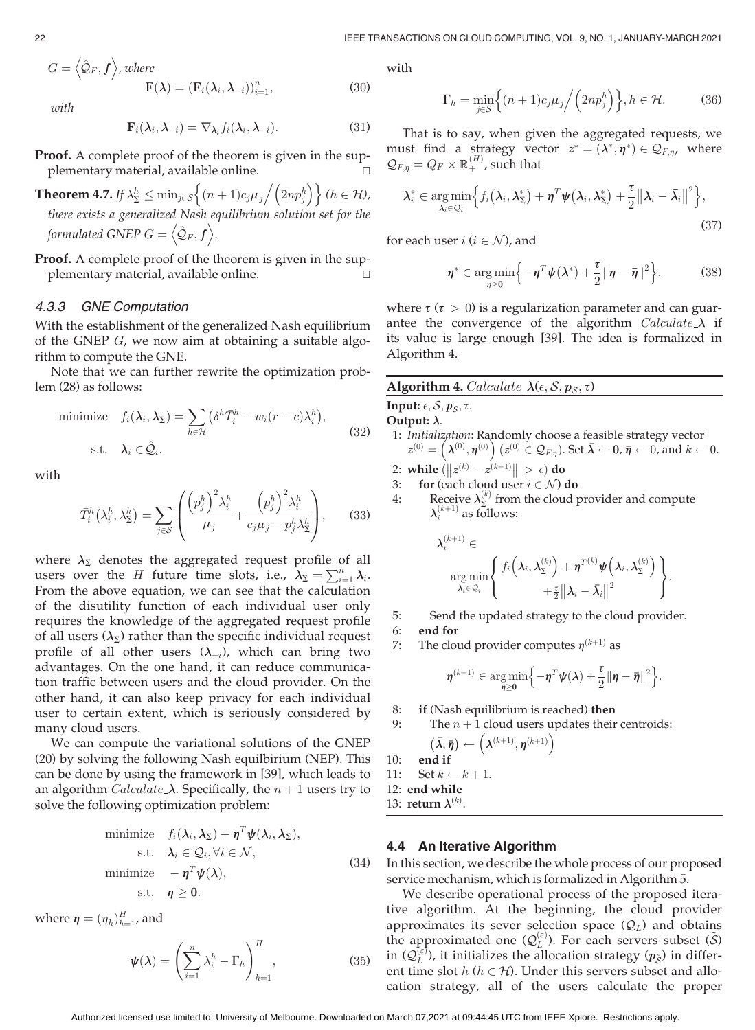$$
G = \langle \hat{\mathcal{Q}}_F, f \rangle, \text{where}
$$
  

$$
\mathbf{F}(\lambda) = (\mathbf{F}_i(\lambda_i, \lambda_{-i}))_{i=1}^n,
$$
 (30)

with

$$
\mathbf{F}_i(\lambda_i, \lambda_{-i}) = \nabla_{\lambda_i} f_i(\lambda_i, \lambda_{-i}).
$$
\n(31)

- Proof. A complete proof of the theorem is given in the sup $p$  plementary material, available online.  $\Box$
- **Theorem 4.7.** If  $\lambda_{\Sigma}^{h} \leq \min_{j \in S} \left\{ (n+1)c_j \mu_j \right/ (2np_j^h) \right\}$   $(h \in H)$ , there exists a generalized Nash equilibrium solution set for the formulated GNEP  $G = \langle \hat{Q}_F , f \rangle$ .
- Proof. A complete proof of the theorem is given in the sup $p$  plementary material, available online.

#### 4.3.3 GNE Computation

With the establishment of the generalized Nash equilibrium of the GNEP G, we now aim at obtaining a suitable algorithm to compute the GNE.

Note that we can further rewrite the optimization problem (28) as follows:

minimize 
$$
f_i(\lambda_i, \lambda_\Sigma) = \sum_{h \in \mathcal{H}} (\delta^h \bar{T}_i^h - w_i (r - c) \lambda_i^h),
$$
  
s.t.  $\lambda_i \in \hat{\mathcal{Q}}_i.$  (32)

with

$$
\bar{T}_i^h(\lambda_i^h, \lambda_\Sigma^h) = \sum_{j \in \mathcal{S}} \left( \frac{\left( p_j^h \right)^2 \lambda_i^h}{\mu_j} + \frac{\left( p_j^h \right)^2 \lambda_i^h}{c_j \mu_j - p_j^h \lambda_\Sigma^h} \right),\tag{33}
$$

where  $\lambda_{\Sigma}$  denotes the aggregated request profile of all users over the H future time slots, i.e.,  $\lambda_{\Sigma} = \sum_{i=1}^{n} \lambda_i$ .<br>From the above equation we can see that the calculation From the above equation, we can see that the calculation of the disutility function of each individual user only requires the knowledge of the aggregated request profile of all users ( $\lambda_{\Sigma}$ ) rather than the specific individual request profile of all other users  $(\lambda_{-i})$ , which can bring two<br>educatorses. On the one hand it can reduce communical advantages. On the one hand, it can reduce communication traffic between users and the cloud provider. On the other hand, it can also keep privacy for each individual user to certain extent, which is seriously considered by many cloud users.

We can compute the variational solutions of the GNEP (20) by solving the following Nash equilbirium (NEP). This can be done by using the framework in [39], which leads to an algorithm *Calculate*  $\lambda$ . Specifically, the  $n + 1$  users try to solve the following optimization problem: solve the following optimization problem:

minimize 
$$
f_i(\lambda_i, \lambda_{\Sigma}) + \eta^T \psi(\lambda_i, \lambda_{\Sigma}),
$$
  
s.t.  $\lambda_i \in Q_i, \forall i \in \mathcal{N},$   
minimize  $-\eta^T \psi(\lambda),$   
s.t.  $\eta \ge 0.$  (34)

where  $\boldsymbol{\eta} = (\eta_h)_{h=1}^H$ , and

$$
\Psi(\lambda) = \left(\sum_{i=1}^{n} \lambda_i^h - \Gamma_h\right)_{h=1}^H,
$$
\n(35)

with

$$
\Gamma_h = \min_{j \in \mathcal{S}} \left\{ (n+1)c_j \mu_j \middle/ \left( 2np_j^h \right) \right\}, h \in \mathcal{H}.
$$
 (36)

That is to say, when given the aggregated requests, we must find a strategy vector  $z^* = (\lambda^*, \eta^*) \in \mathcal{Q}_{F,\eta}$ , where  $\mathcal{Q}_F = \mathcal{Q}_{F,\infty} \mathbb{R}^{(H)}$  such that  $\mathcal{Q}_{F,\eta} = Q_F \times \mathbb{R}^{(H)}_+$ , such that

$$
\lambda_i^* \in \underset{\lambda_i \in \mathcal{Q}_i}{\arg \min} \Big\{ f_i(\lambda_i, \lambda_{\Sigma}^*) + \eta^T \psi(\lambda_i, \lambda_{\Sigma}^*) + \frac{\tau}{2} ||\lambda_i - \bar{\lambda}_i||^2 \Big\},\tag{37}
$$
 each user  $i$  ( $i \in \mathcal{N}$ ) and

for each user  $i$  ( $i \in \mathcal{N}$ ), and

$$
\eta^* \in \underset{\eta \ge 0}{\arg \min} \left\{-\eta^T \psi(\lambda^*) + \frac{\tau}{2} \|\eta - \bar{\eta}\|^2\right\}.
$$
 (38)

where  $\tau$  ( $\tau > 0$ ) is a regularization parameter and can guarantee the convergence of the algorithm  $Calculate \lambda$  if its value is large enough [39]. The idea is formalized in Algorithm 4.

# Algorithm 4. Calculate  $\lambda(\epsilon, \mathcal{S}, p_{\mathcal{S}}, \tau)$

Input:  $\epsilon$ ,  $\mathcal{S}$ ,  $p_{\mathcal{S}}$ ,  $\tau$ .

Output:  $\lambda$ .

- 1: Initialization: Randomly choose a feasible strategy vector  $z^{(0)} = \left(\lambda^{(0)}, \eta^{(0)}\right) (z^{(0)} \in \mathcal{Q}_{F,\eta})$ . Set  $\bar{\lambda} \leftarrow 0$ ,  $\bar{\eta} \leftarrow 0$ , and  $k \leftarrow 0$ .
- 2: while  $(\Vert z^{(k)} z^{(k-1)} \Vert > \epsilon)$  do<br>3: for (each cloud user  $i \in \mathcal{N}$ )
- 
- 3: **for** (each cloud user  $i \in \mathcal{N}$ ) **do**<br>4: Receive  $\lambda_{\rm s}^{(k)}$  from the cloud **r** 4: Receive  $\lambda_{\Sigma}^{(k)}$  from the cloud provider and compute  $\lambda_i^{(k+1)}$  as follows:

$$
\lambda_i^{(k+1)} \in \underset{\lambda_i \in \mathcal{Q}_i}{\arg \min} \left\{ f_i \left( \lambda_i, \lambda_{\Sigma}^{(k)} \right) + \eta^{T(k)} \boldsymbol{\psi} \left( \lambda_i, \lambda_{\Sigma}^{(k)} \right) \right\} + \frac{\pi}{2} \|\lambda_i - \bar{\lambda}_i\|^2 \right\}.
$$

5: Send the updated strategy to the cloud provider.

6: end for

7: The cloud provider computes  $\eta^{(k+1)}$  as

$$
\boldsymbol{\eta}^{(k+1)} \in \argmin_{\boldsymbol{\eta} \geq \mathbf{0}} \left\{-\boldsymbol{\eta}^T\boldsymbol{\psi}(\boldsymbol{\lambda}) + \frac{\tau}{2} \|\boldsymbol{\eta} - \boldsymbol{\bar{\eta}}\|^2\right\}.
$$

- 8: if (Nash equilibrium is reached) then
- 9: The  $n + 1$  cloud users updates their centroids:

$$
(\bar{\lambda}, \bar{\eta}) \leftarrow \left(\lambda^{(k+1)}, \eta^{(k+1)}\right)
$$
  
10: end if

11: Set  $k \leftarrow k + 1$ . 12: end while

13: return  $\lambda^{(k)}$ .

# 4.4 An Iterative Algorithm

In this section, we describe the whole process of our proposed service mechanism, which is formalized in Algorithm 5.

We describe operational process of the proposed iterative algorithm. At the beginning, the cloud provider approximates its sever selection space  $(Q_L)$  and obtains the approximated one  $(Q_L^{(\varepsilon)})$ . For each servers subset  $(\widetilde{S})$ <br>in  $(Q_L^{(\varepsilon)})$  it initializes the allocation strateov  $(n_1)$  in differin  $(Q_L^{\{\varepsilon\}})$ , it initializes the allocation strategy  $(p_{\tilde{S}})$  in different time slot  $h$  ( $h \in H$ ). Inder this servers subset and alloent time slot  $h$  ( $h \in H$ ). Under this servers subset and allocation strategy, all of the users calculate the proper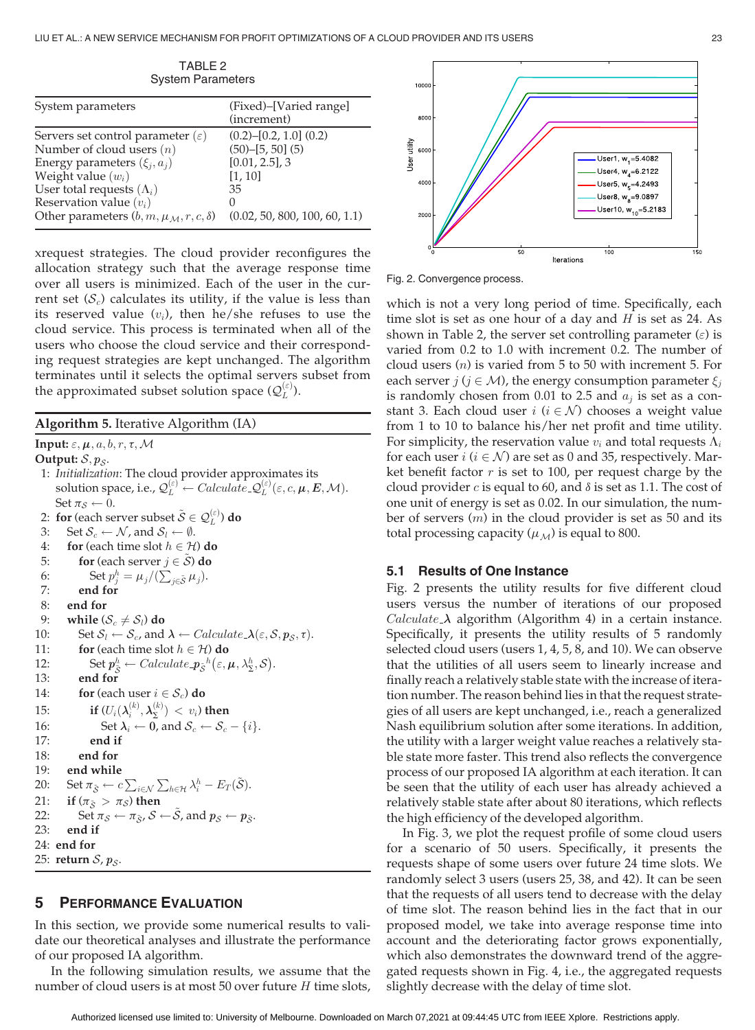| <b>System Parameters</b>                                                                                                                                                                                                                                     |                                                                                                                                                  |  |
|--------------------------------------------------------------------------------------------------------------------------------------------------------------------------------------------------------------------------------------------------------------|--------------------------------------------------------------------------------------------------------------------------------------------------|--|
| System parameters                                                                                                                                                                                                                                            | (Fixed)–[Varied range]<br>(increment)                                                                                                            |  |
| Servers set control parameter $(\varepsilon)$<br>Number of cloud users $(n)$<br>Energy parameters $(\xi_i, a_i)$<br>Weight value $(w_i)$<br>User total requests $(\Lambda_i)$<br>Reservation value $(v_i)$<br>Other parameters $(b, m, \mu_M, r, c, \delta)$ | $(0.2)$ -[0.2, 1.0] $(0.2)$<br>$(50)$ - $[5, 50]$ (5)<br>$[0.01, 2.5]$ , 3<br>[1, 10]<br>35<br>$\left( \right)$<br>(0.02, 50, 800, 100, 60, 1.1) |  |

TABLE 2

xrequest strategies. The cloud provider reconfigures the allocation strategy such that the average response time over all users is minimized. Each of the user in the current set  $(S_c)$  calculates its utility, if the value is less than its reserved value  $(v_i)$ , then he/she refuses to use the cloud service. This process is terminated when all of the users who choose the cloud service and their corresponding request strategies are kept unchanged. The algorithm terminates until it selects the optimal servers subset from the approximated subset solution space  $(Q_L^{(\varepsilon)})$ .

## Algorithm 5. Iterative Algorithm (IA)

Input:  $\varepsilon$ ,  $\mu$ ,  $a$ ,  $b$ ,  $r$ ,  $\tau$ ,  $\mathcal{M}$ Output:  $S, p_S$ . 1: Initialization: The cloud provider approximates its solution space, i.e.,  $Q_L^{(\varepsilon)} \leftarrow \text{Calculate\_Q}_L^{(\varepsilon)}(\varepsilon, c, \mu, E, \mathcal{M}).$ <br>Set  $\pi_{\varepsilon} \leftarrow 0$ Set  $\pi_{\mathcal{S}} \leftarrow 0$ . 2: for (each server subset  $\tilde{S} \in \mathcal{Q}_L^{(\varepsilon)}$ ) do<br>3. Set  $S \leftarrow N$  and  $S_i \leftarrow \emptyset$ 3: Set  $S_c \leftarrow N$ , and  $S_l \leftarrow \emptyset$ .<br>4: **for** (each time slot  $h \in \mathcal{H}$ 4: **for** (each time slot  $h \in \mathcal{H}$ ) **do**<br>5: **for** (each server  $j \in \tilde{S}$ ) **do** 5: **for** (each server  $j \in \tilde{S}$ ) do<br>6: Set  $p_i^h = \mu_i/(\sum_{i \in \tilde{S}} \mu_i)$ . 6: Set  $p_j^h = \mu_j/(\sum_{j \in \tilde{\mathcal{S}}} \mu_j)$ .<br>7. and for 7: end for 8: end for<br>9: while  $\binom{6}{5}$ 9: while  $(S_c \neq S_l)$  do<br>10: Set  $S_l \leftarrow S_c$ , and 10: Set  $S_l \leftarrow S_c$ , and  $\lambda \leftarrow Calculate \lambda(\varepsilon, S, p_S, \tau)$ .<br>11: for (each time slot  $b \in H$ ) do 11: **for** (each time slot  $h \in H$ ) **do**<br>
12: Set  $p_{\mathcal{S}}^h \leftarrow Calculate\_p_{\mathcal{S}}^h(\varepsilon, \mu, \lambda_{\Sigma}^h, \mathcal{S})$ .<br>
13: **end for** 13: end for 14: **for** (each user  $i \in S_c$ ) **do**<br>15: **if**  $(U_i(\lambda_i^{(k)}, \lambda_i^{(k)}) < v_i)$ 15: **if**  $(U_i(\lambda_i^{(k)}, \lambda_{\Sigma}^{(k)}) < v_i)$  then<br>
16: Set  $\lambda_i \leftarrow 0$ , and  $S_c \leftarrow S_c - \{i\}$ .<br>
17: **end if** 17: end if 18: end for 19: end while 20: Set  $\pi_{\tilde{S}} \leftarrow c \sum_{i \in \mathcal{N}} \sum_{h \in \mathcal{H}} \lambda_i^h - E_T(\tilde{S}).$ 21: if  $(\pi_{\tilde{S}} > \pi_{S})$  then<br>22: Set  $\pi_{S} \leftarrow \pi_{S} S$ . 22: Set  $\pi_S \leftarrow \pi_{\tilde{S}}, S \leftarrow \tilde{S}$ , and  $p_S \leftarrow p_{\tilde{S}}$ .<br>23: end if end if 24: end for 25: return  $S, p_S$ .

# 5 PERFORMANCE EVALUATION

In this section, we provide some numerical results to validate our theoretical analyses and illustrate the performance of our proposed IA algorithm.

In the following simulation results, we assume that the number of cloud users is at most  $50$  over future  $H$  time slots,



Fig. 2. Convergence process.

which is not a very long period of time. Specifically, each time slot is set as one hour of a day and  $H$  is set as 24. As shown in Table 2, the server set controlling parameter  $(\varepsilon)$  is varied from 0.2 to 1.0 with increment 0.2. The number of cloud users (n) is varied from 5 to 50 with increment 5. For each server  $j$  ( $j \in M$ ), the energy consumption parameter  $\xi_i$ is randomly chosen from 0.01 to 2.5 and  $a_i$  is set as a constant 3. Each cloud user  $i$   $(i \in \mathcal{N})$  chooses a weight value from 1 to 10 to balance his/her net profit and time utility. For simplicity, the reservation value  $v_i$  and total requests  $\Lambda_i$ for each user  $i$  ( $i \in \mathcal{N}$ ) are set as 0 and 35, respectively. Market benefit factor  $r$  is set to 100, per request charge by the cloud provider  $c$  is equal to 60, and  $\delta$  is set as 1.1. The cost of one unit of energy is set as 0.02. In our simulation, the number of servers  $(m)$  in the cloud provider is set as 50 and its total processing capacity ( $\mu_M$ ) is equal to 800.

# 5.1 Results of One Instance

Fig. 2 presents the utility results for five different cloud users versus the number of iterations of our proposed  $Calculate \lambda$  algorithm (Algorithm 4) in a certain instance. Specifically, it presents the utility results of 5 randomly selected cloud users (users 1, 4, 5, 8, and 10). We can observe that the utilities of all users seem to linearly increase and finally reach a relatively stable state with the increase of iteration number. The reason behind lies in that the request strategies of all users are kept unchanged, i.e., reach a generalized Nash equilibrium solution after some iterations. In addition, the utility with a larger weight value reaches a relatively stable state more faster. This trend also reflects the convergence process of our proposed IA algorithm at each iteration. It can be seen that the utility of each user has already achieved a relatively stable state after about 80 iterations, which reflects the high efficiency of the developed algorithm.

In Fig. 3, we plot the request profile of some cloud users for a scenario of 50 users. Specifically, it presents the requests shape of some users over future 24 time slots. We randomly select 3 users (users 25, 38, and 42). It can be seen that the requests of all users tend to decrease with the delay of time slot. The reason behind lies in the fact that in our proposed model, we take into average response time into account and the deteriorating factor grows exponentially, which also demonstrates the downward trend of the aggregated requests shown in Fig. 4, i.e., the aggregated requests slightly decrease with the delay of time slot.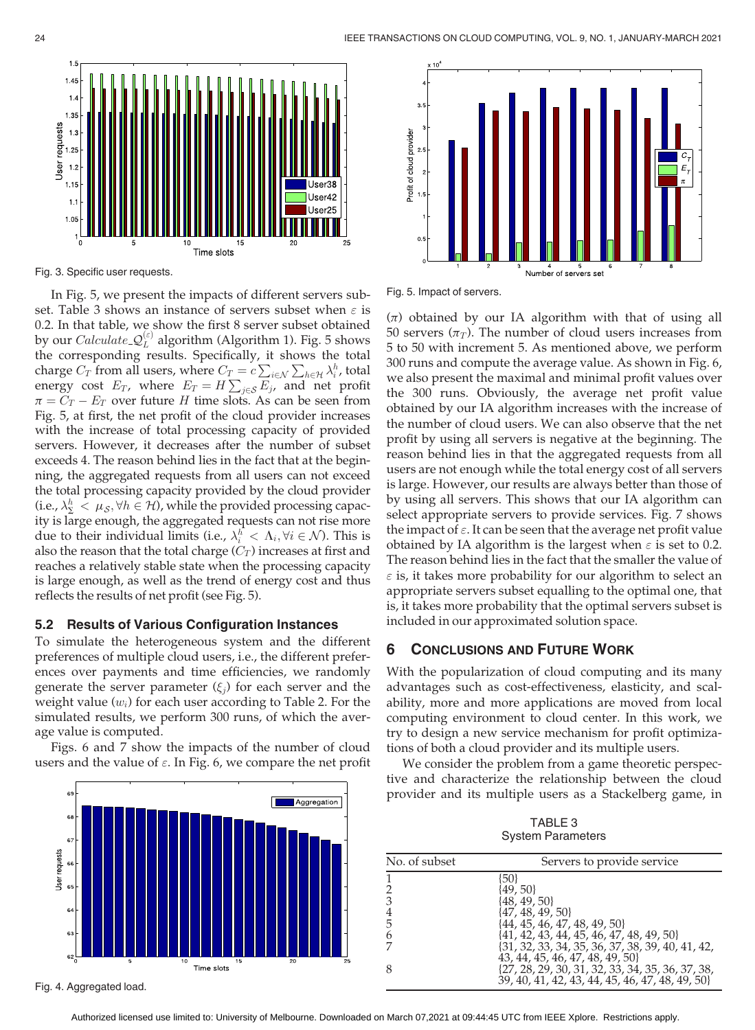

Fig. 3. Specific user requests.

In Fig. 5, we present the impacts of different servers subset. Table 3 shows an instance of servers subset when  $\varepsilon$  is 0.2. In that table, we show the first 8 server subset obtained by our *Calculate*  $\mathcal{Q}_{L}^{(\varepsilon)}$  algorithm (Algorithm 1). Fig. 5 shows the corresponding results Specifically it shows the total the corresponding results. Specifically, it shows the total charge  $C_T$  from all users, where  $C_T = c \sum_{i \in \mathcal{N}} \sum_{h \in \mathcal{H}} \lambda_i^h$ , total<br>energy cost  $E_T$  where  $E_T = H \sum_i R_i$  and net profit charge  $C_T$  from an users, where  $C_T = c \sum_{i \in \mathcal{N}} \sum_{h \in \mathcal{H}} \lambda_i^T$ , total<br>energy cost  $E_T$ , where  $E_T = H \sum_{j \in \mathcal{S}} E_j$ , and net profit<br> $\pi = C_T - E_T$  over future H time slots. As can be seen from  $\pi = C_T - E_T$  over future H time slots. As can be seen from Fig. 5, at first, the net profit of the cloud provider increases with the increase of total processing capacity of provided servers. However, it decreases after the number of subset exceeds 4. The reason behind lies in the fact that at the beginning, the aggregated requests from all users can not exceed the total processing capacity provided by the cloud provider (i.e.,  $\lambda_2^h \leq \mu_S, \forall h \in \mathcal{H}$ ), while the provided processing capac-<br>ity is large enough, the aggregated requests can not rise more ity is large enough, the aggregated requests can not rise more due to their individual limits (i.e.,  $\lambda_i^h \leq \Lambda_i$ ,  $\forall i \in \mathcal{N}$ ). This is also the reason that the total charge  $(C_n)$  increases at first and also the reason that the total charge  $(C_T)$  increases at first and reaches a relatively stable state when the processing capacity is large enough, as well as the trend of energy cost and thus reflects the results of net profit (see Fig. 5).

## 5.2 Results of Various Configuration Instances

To simulate the heterogeneous system and the different preferences of multiple cloud users, i.e., the different preferences over payments and time efficiencies, we randomly generate the server parameter  $(\xi_i)$  for each server and the weight value  $(w_i)$  for each user according to Table 2. For the simulated results, we perform 300 runs, of which the average value is computed.

Figs. 6 and 7 show the impacts of the number of cloud users and the value of  $\varepsilon$ . In Fig. 6, we compare the net profit







Fig. 5. Impact of servers.

 $(\pi)$  obtained by our IA algorithm with that of using all 50 servers  $(\pi_T)$ . The number of cloud users increases from 5 to 50 with increment 5. As mentioned above, we perform 300 runs and compute the average value. As shown in Fig. 6, we also present the maximal and minimal profit values over the 300 runs. Obviously, the average net profit value obtained by our IA algorithm increases with the increase of the number of cloud users. We can also observe that the net profit by using all servers is negative at the beginning. The reason behind lies in that the aggregated requests from all users are not enough while the total energy cost of all servers is large. However, our results are always better than those of by using all servers. This shows that our IA algorithm can select appropriate servers to provide services. Fig. 7 shows the impact of  $\varepsilon$ . It can be seen that the average net profit value obtained by IA algorithm is the largest when  $\varepsilon$  is set to 0.2. The reason behind lies in the fact that the smaller the value of  $\varepsilon$  is, it takes more probability for our algorithm to select an appropriate servers subset equalling to the optimal one, that is, it takes more probability that the optimal servers subset is included in our approximated solution space.

# 6 CONCLUSIONS AND FUTURE WORK

With the popularization of cloud computing and its many advantages such as cost-effectiveness, elasticity, and scalability, more and more applications are moved from local computing environment to cloud center. In this work, we try to design a new service mechanism for profit optimizations of both a cloud provider and its multiple users.

We consider the problem from a game theoretic perspective and characterize the relationship between the cloud provider and its multiple users as a Stackelberg game, in

| TABLE 3                  |  |
|--------------------------|--|
| <b>System Parameters</b> |  |

| No. of subset | Servers to provide service                          |
|---------------|-----------------------------------------------------|
|               | 50                                                  |
| 2<br>3        | {49, 50}                                            |
|               | $\{48, 49, 50\}$                                    |
| 4             | $\{47, 48, 49, 50\}$                                |
| 5             | $\{44, 45, 46, 47, 48, 49, 50\}$                    |
| 6             | $\{41, 42, 43, 44, 45, 46, 47, 48, 49, 50\}$        |
| 7             | $\{31, 32, 33, 34, 35, 36, 37, 38, 39, 40, 41, 42,$ |
|               | 43, 44, 45, 46, 47, 48, 49, 50                      |
| 8             | {27, 28, 29, 30, 31, 32, 33, 34, 35, 36, 37, 38,    |
|               | 39, 40, 41, 42, 43, 44, 45, 46, 47, 48, 49, 50}     |
|               |                                                     |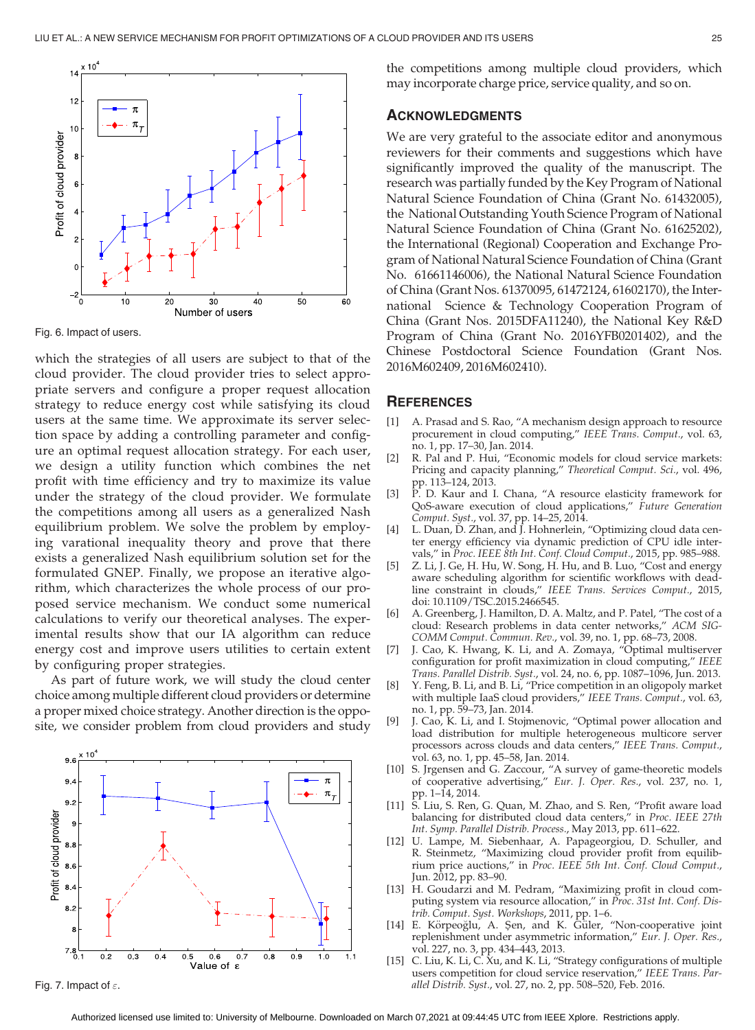

Fig. 6. Impact of users.

which the strategies of all users are subject to that of the cloud provider. The cloud provider tries to select appropriate servers and configure a proper request allocation strategy to reduce energy cost while satisfying its cloud users at the same time. We approximate its server selection space by adding a controlling parameter and configure an optimal request allocation strategy. For each user, we design a utility function which combines the net profit with time efficiency and try to maximize its value under the strategy of the cloud provider. We formulate the competitions among all users as a generalized Nash equilibrium problem. We solve the problem by employing varational inequality theory and prove that there exists a generalized Nash equilibrium solution set for the formulated GNEP. Finally, we propose an iterative algorithm, which characterizes the whole process of our proposed service mechanism. We conduct some numerical calculations to verify our theoretical analyses. The experimental results show that our IA algorithm can reduce energy cost and improve users utilities to certain extent by configuring proper strategies.

As part of future work, we will study the cloud center choice among multiple different cloud providers or determine a proper mixed choice strategy. Another direction is the opposite, we consider problem from cloud providers and study



Fig. 7. Impact of  $\varepsilon$ .

the competitions among multiple cloud providers, which may incorporate charge price, service quality, and so on.

# ACKNOWLEDGMENTS

We are very grateful to the associate editor and anonymous reviewers for their comments and suggestions which have significantly improved the quality of the manuscript. The research was partially funded by the Key Program of National Natural Science Foundation of China (Grant No. 61432005), the National Outstanding Youth Science Program of National Natural Science Foundation of China (Grant No. 61625202), the International (Regional) Cooperation and Exchange Program of National Natural Science Foundation of China (Grant No. 61661146006), the National Natural Science Foundation of China (Grant Nos. 61370095, 61472124, 61602170), the International Science & Technology Cooperation Program of China (Grant Nos. 2015DFA11240), the National Key R&D Program of China (Grant No. 2016YFB0201402), and the Chinese Postdoctoral Science Foundation (Grant Nos. 2016M602409, 2016M602410).

# **REFERENCES**

- [1] A. Prasad and S. Rao, "A mechanism design approach to resource procurement in cloud computing," IEEE Trans. Comput., vol. 63, no. 1, pp. 17–30, Jan. 2014.
- [2] R. Pal and P. Hui, "Economic models for cloud service markets: Pricing and capacity planning," Theoretical Comput. Sci., vol. 496, pp. 113–124, 2013.
- [3] P. D. Kaur and I. Chana, "A resource elasticity framework for QoS-aware execution of cloud applications," Future Generation Comput. Syst., vol. 37, pp. 14–25, 2014.
- [4] L. Duan, D. Zhan, and J. Hohnerlein, "Optimizing cloud data center energy efficiency via dynamic prediction of CPU idle intervals," in Proc. IEEE 8th Int. Conf. Cloud Comput., 2015, pp. 985–988.
- Z. Li, J. Ge, H. Hu, W. Song, H. Hu, and B. Luo, "Cost and energy aware scheduling algorithm for scientific workflows with deadline constraint in clouds," IEEE Trans. Services Comput., 2015, doi: 10.1109/TSC.2015.2466545.
- [6] A. Greenberg, J. Hamilton, D. A. Maltz, and P. Patel, "The cost of a cloud: Research problems in data center networks," ACM SIG-COMM Comput. Commun. Rev., vol. 39, no. 1, pp. 68–73, 2008.
- [7] J. Cao, K. Hwang, K. Li, and A. Zomaya, "Optimal multiserver configuration for profit maximization in cloud computing," IEEE Trans. Parallel Distrib. Syst., vol. 24, no. 6, pp. 1087–1096, Jun. 2013.
- [8] Y. Feng, B. Li, and B. Li, "Price competition in an oligopoly market with multiple IaaS cloud providers," IEEE Trans. Comput., vol. 63, no. 1, pp. 59–73, Jan. 2014.
- [9] J. Cao, K. Li, and I. Stojmenovic, "Optimal power allocation and load distribution for multiple heterogeneous multicore server processors across clouds and data centers," IEEE Trans. Comput., vol. 63, no. 1, pp. 45–58, Jan. 2014.
- [10] S. Jrgensen and G. Zaccour, "A survey of game-theoretic models of cooperative advertising," Eur. J. Oper. Res., vol. 237, no. 1, pp. 1–14, 2014.
- [11] S. Liu, S. Ren, G. Quan, M. Zhao, and S. Ren, "Profit aware load balancing for distributed cloud data centers," in Proc. IEEE 27th Int. Symp. Parallel Distrib. Process., May 2013, pp. 611–622.
- [12] U. Lampe, M. Siebenhaar, A. Papageorgiou, D. Schuller, and R. Steinmetz, "Maximizing cloud provider profit from equilibrium price auctions," in Proc. IEEE 5th Int. Conf. Cloud Comput., Jun. 2012, pp. 83–90.
- [13] H. Goudarzi and M. Pedram, "Maximizing profit in cloud computing system via resource allocation," in Proc. 31st Int. Conf. Distrib. Comput. Syst. Workshops, 2011, pp. 1–6.
- [14] E. Körpeoğlu, A. Şen, and K. Güler, "Non-cooperative joint  $\frac{1}{2}$  replenishment under asymmetric information "  $\frac{F_{UT}}{F_{UT}}$  I Oner Res replenishment under asymmetric information," Eur. J. Oper. Res., vol. 227, no. 3, pp. 434–443, 2013.
- [15] C. Liu, K. Li, C. Xu, and K. Li, "Strategy configurations of multiple users competition for cloud service reservation," IEEE Trans. Parallel Distrib. Syst., vol. 27, no. 2, pp. 508–520, Feb. 2016.